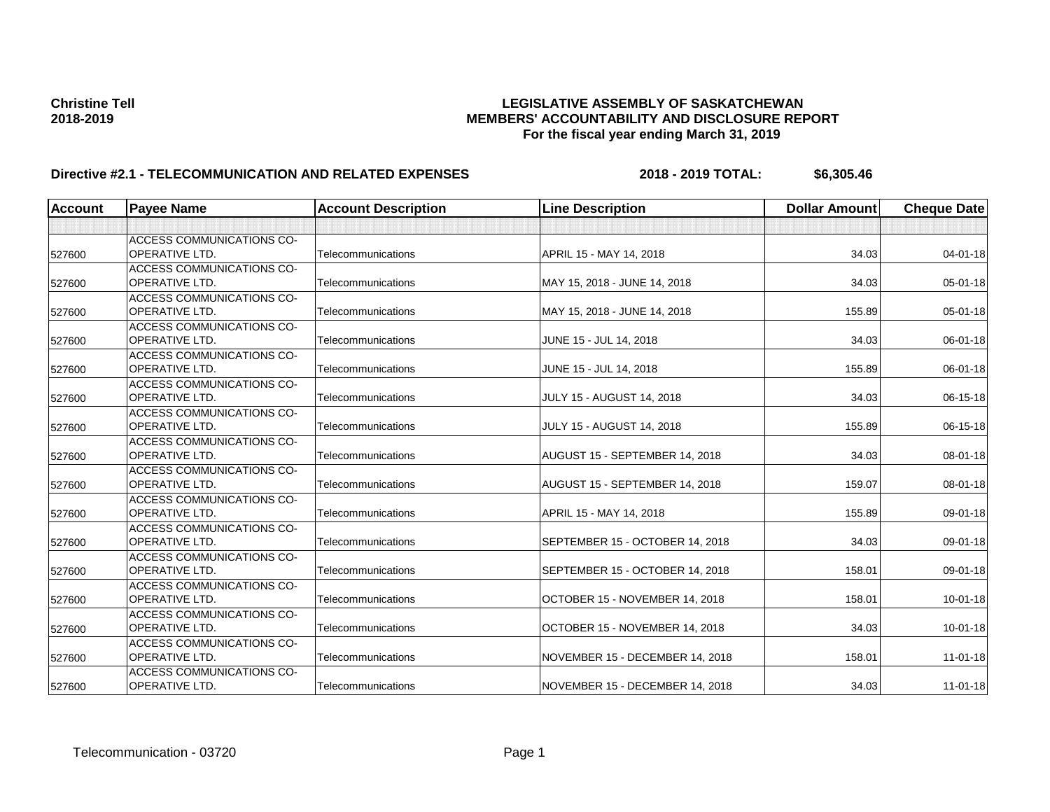| <b>Account</b> | <b>Payee Name</b>                | <b>Account Description</b> | <b>Line Description</b>          | <b>Dollar Amount</b> | <b>Cheque Date</b> |
|----------------|----------------------------------|----------------------------|----------------------------------|----------------------|--------------------|
|                |                                  |                            |                                  |                      |                    |
|                | ACCESS COMMUNICATIONS CO-        |                            |                                  |                      |                    |
| 527600         | <b>OPERATIVE LTD.</b>            | Telecommunications         | APRIL 15 - MAY 14, 2018          | 34.03                | $04 - 01 - 18$     |
|                | <b>ACCESS COMMUNICATIONS CO-</b> |                            |                                  |                      |                    |
| 527600         | <b>OPERATIVE LTD.</b>            | Telecommunications         | MAY 15, 2018 - JUNE 14, 2018     | 34.03                | 05-01-18           |
|                | ACCESS COMMUNICATIONS CO-        |                            |                                  |                      |                    |
| 527600         | <b>OPERATIVE LTD.</b>            | Telecommunications         | MAY 15, 2018 - JUNE 14, 2018     | 155.89               | $05 - 01 - 18$     |
|                | <b>ACCESS COMMUNICATIONS CO-</b> |                            |                                  |                      |                    |
| 527600         | <b>OPERATIVE LTD.</b>            | Telecommunications         | JUNE 15 - JUL 14, 2018           | 34.03                | 06-01-18           |
|                | <b>ACCESS COMMUNICATIONS CO-</b> |                            |                                  |                      |                    |
| 527600         | OPERATIVE LTD.                   | Telecommunications         | JUNE 15 - JUL 14, 2018           | 155.89               | 06-01-18           |
|                | ACCESS COMMUNICATIONS CO-        |                            |                                  |                      |                    |
| 527600         | <b>OPERATIVE LTD.</b>            | Telecommunications         | <b>JULY 15 - AUGUST 14, 2018</b> | 34.03                | 06-15-18           |
|                | <b>ACCESS COMMUNICATIONS CO-</b> |                            |                                  |                      |                    |
| 527600         | <b>OPERATIVE LTD.</b>            | Telecommunications         | <b>JULY 15 - AUGUST 14, 2018</b> | 155.89               | 06-15-18           |
|                | <b>ACCESS COMMUNICATIONS CO-</b> |                            |                                  |                      |                    |
| 527600         | OPERATIVE LTD.                   | Telecommunications         | AUGUST 15 - SEPTEMBER 14, 2018   | 34.03                | 08-01-18           |
|                | ACCESS COMMUNICATIONS CO-        |                            |                                  |                      |                    |
| 527600         | <b>OPERATIVE LTD.</b>            | Telecommunications         | AUGUST 15 - SEPTEMBER 14, 2018   | 159.07               | 08-01-18           |
|                | <b>ACCESS COMMUNICATIONS CO-</b> |                            |                                  |                      |                    |
| 527600         | <b>OPERATIVE LTD.</b>            | Telecommunications         | APRIL 15 - MAY 14, 2018          | 155.89               | 09-01-18           |
|                | ACCESS COMMUNICATIONS CO-        |                            |                                  |                      |                    |
| 527600         | <b>OPERATIVE LTD.</b>            | Telecommunications         | SEPTEMBER 15 - OCTOBER 14, 2018  | 34.03                | 09-01-18           |
|                | ACCESS COMMUNICATIONS CO-        |                            |                                  |                      |                    |
| 527600         | <b>OPERATIVE LTD.</b>            | Telecommunications         | SEPTEMBER 15 - OCTOBER 14, 2018  | 158.01               | 09-01-18           |
|                | ACCESS COMMUNICATIONS CO-        |                            |                                  |                      |                    |
| 527600         | <b>OPERATIVE LTD.</b>            | Telecommunications         | OCTOBER 15 - NOVEMBER 14, 2018   | 158.01               | $10 - 01 - 18$     |
|                | ACCESS COMMUNICATIONS CO-        |                            |                                  |                      |                    |
| 527600         | <b>OPERATIVE LTD.</b>            | Telecommunications         | OCTOBER 15 - NOVEMBER 14, 2018   | 34.03                | $10 - 01 - 18$     |
|                | ACCESS COMMUNICATIONS CO-        |                            |                                  |                      |                    |
| 527600         | OPERATIVE LTD.                   | Telecommunications         | NOVEMBER 15 - DECEMBER 14, 2018  | 158.01               | $11 - 01 - 18$     |
|                | ACCESS COMMUNICATIONS CO-        |                            |                                  |                      |                    |
| 527600         | <b>OPERATIVE LTD.</b>            | Telecommunications         | NOVEMBER 15 - DECEMBER 14, 2018  | 34.03                | $11 - 01 - 18$     |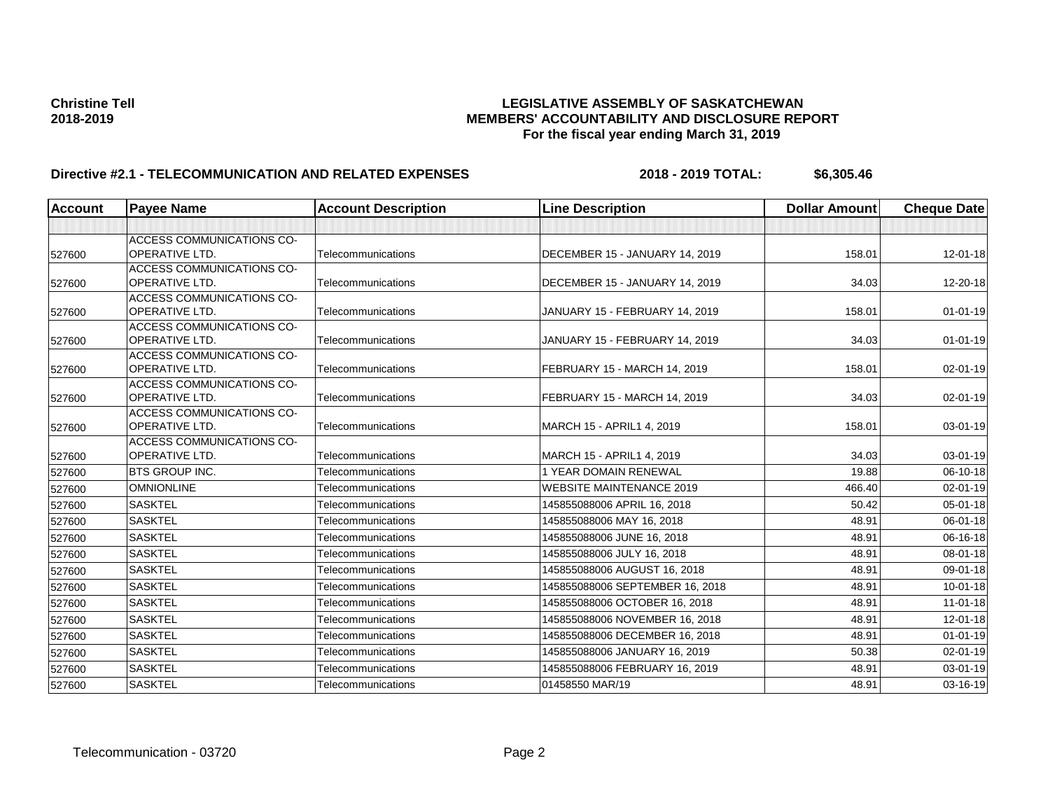| <b>Account</b> | <b>Payee Name</b>                                  | <b>Account Description</b> | <b>Line Description</b>         | <b>Dollar Amount</b> | <b>Cheque Date</b> |
|----------------|----------------------------------------------------|----------------------------|---------------------------------|----------------------|--------------------|
|                |                                                    |                            |                                 |                      |                    |
|                | ACCESS COMMUNICATIONS CO-                          |                            |                                 |                      |                    |
| 527600         | <b>OPERATIVE LTD.</b>                              | Telecommunications         | DECEMBER 15 - JANUARY 14, 2019  | 158.01               | $12 - 01 - 18$     |
|                | <b>ACCESS COMMUNICATIONS CO-</b>                   |                            |                                 |                      |                    |
| 527600         | <b>OPERATIVE LTD.</b>                              | Telecommunications         | DECEMBER 15 - JANUARY 14, 2019  | 34.03                | 12-20-18           |
|                | ACCESS COMMUNICATIONS CO-                          |                            |                                 |                      |                    |
| 527600         | <b>OPERATIVE LTD.</b>                              | Telecommunications         | JANUARY 15 - FEBRUARY 14, 2019  | 158.01               | $01 - 01 - 19$     |
|                | ACCESS COMMUNICATIONS CO-                          |                            |                                 |                      |                    |
| 527600         | <b>OPERATIVE LTD.</b>                              | Telecommunications         | JANUARY 15 - FEBRUARY 14, 2019  | 34.03                | $01 - 01 - 19$     |
| 527600         | <b>ACCESS COMMUNICATIONS CO-</b><br>OPERATIVE LTD. | Telecommunications         | FEBRUARY 15 - MARCH 14, 2019    | 158.01               | 02-01-19           |
|                | ACCESS COMMUNICATIONS CO-                          |                            |                                 |                      |                    |
| 527600         | <b>OPERATIVE LTD.</b>                              | Telecommunications         | FEBRUARY 15 - MARCH 14, 2019    | 34.03                | 02-01-19           |
|                | <b>ACCESS COMMUNICATIONS CO-</b>                   |                            |                                 |                      |                    |
| 527600         | <b>OPERATIVE LTD.</b>                              | Telecommunications         | MARCH 15 - APRIL1 4, 2019       | 158.01               | 03-01-19           |
|                | <b>ACCESS COMMUNICATIONS CO-</b>                   |                            |                                 |                      |                    |
| 527600         | <b>OPERATIVE LTD.</b>                              | Telecommunications         | MARCH 15 - APRIL1 4, 2019       | 34.03                | 03-01-19           |
| 527600         | <b>BTS GROUP INC.</b>                              | Telecommunications         | <b>1 YEAR DOMAIN RENEWAL</b>    | 19.88                | 06-10-18           |
| 527600         | <b>OMNIONLINE</b>                                  | Telecommunications         | <b>WEBSITE MAINTENANCE 2019</b> | 466.40               | $02 - 01 - 19$     |
| 527600         | <b>SASKTEL</b>                                     | Telecommunications         | 145855088006 APRIL 16, 2018     | 50.42                | 05-01-18           |
| 527600         | <b>SASKTEL</b>                                     | Telecommunications         | 145855088006 MAY 16, 2018       | 48.91                | 06-01-18           |
| 527600         | <b>SASKTEL</b>                                     | Telecommunications         | 145855088006 JUNE 16, 2018      | 48.91                | 06-16-18           |
| 527600         | <b>SASKTEL</b>                                     | Telecommunications         | 145855088006 JULY 16, 2018      | 48.91                | 08-01-18           |
| 527600         | <b>SASKTEL</b>                                     | Telecommunications         | 145855088006 AUGUST 16, 2018    | 48.91                | 09-01-18           |
| 527600         | <b>SASKTEL</b>                                     | Telecommunications         | 145855088006 SEPTEMBER 16, 2018 | 48.91                | $10 - 01 - 18$     |
| 527600         | <b>SASKTEL</b>                                     | Telecommunications         | 145855088006 OCTOBER 16, 2018   | 48.91                | $11-01-18$         |
| 527600         | <b>SASKTEL</b>                                     | Telecommunications         | 145855088006 NOVEMBER 16, 2018  | 48.91                | 12-01-18           |
| 527600         | <b>SASKTEL</b>                                     | Telecommunications         | 145855088006 DECEMBER 16, 2018  | 48.91                | $01 - 01 - 19$     |
| 527600         | <b>SASKTEL</b>                                     | Telecommunications         | 145855088006 JANUARY 16, 2019   | 50.38                | 02-01-19           |
| 527600         | <b>SASKTEL</b>                                     | Telecommunications         | 145855088006 FEBRUARY 16, 2019  | 48.91                | 03-01-19           |
| 527600         | <b>SASKTEL</b>                                     | Telecommunications         | 01458550 MAR/19                 | 48.91                | 03-16-19           |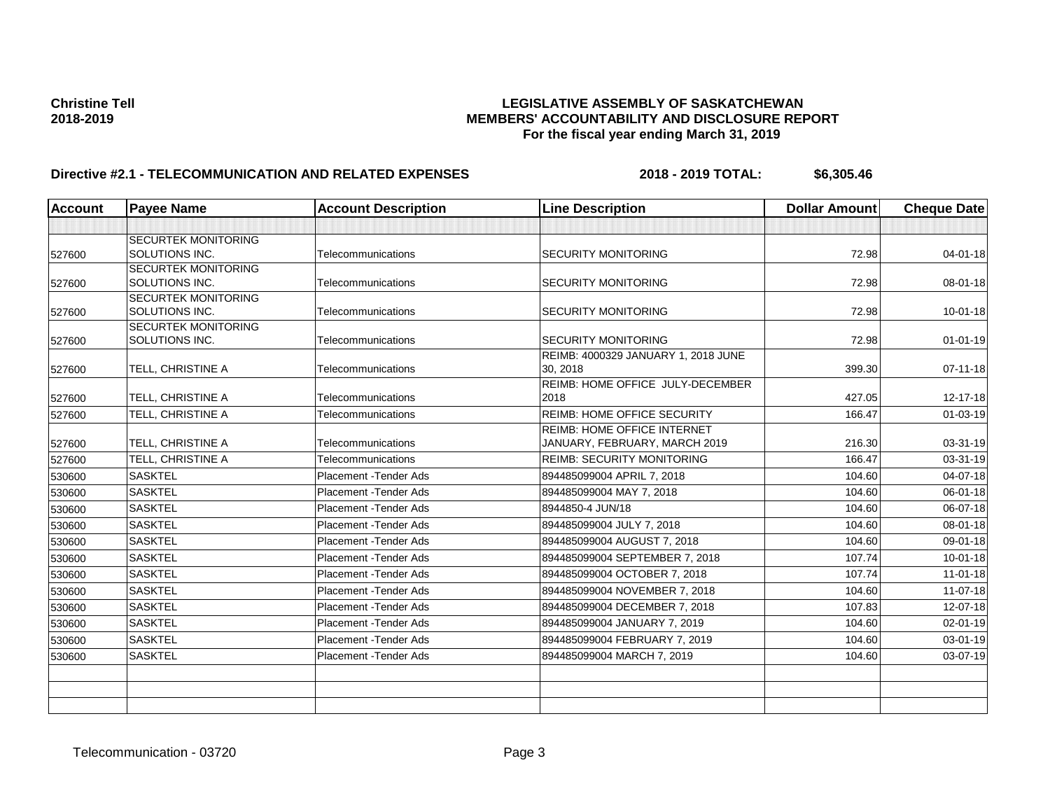| <b>Account</b> | <b>Payee Name</b>          | <b>Account Description</b> | <b>Line Description</b>             | <b>Dollar Amount</b> | <b>Cheque Date</b> |
|----------------|----------------------------|----------------------------|-------------------------------------|----------------------|--------------------|
|                |                            |                            |                                     |                      |                    |
|                | <b>SECURTEK MONITORING</b> |                            |                                     |                      |                    |
| 527600         | SOLUTIONS INC.             | Telecommunications         | <b>SECURITY MONITORING</b>          | 72.98                | $04 - 01 - 18$     |
|                | <b>SECURTEK MONITORING</b> |                            |                                     |                      |                    |
| 527600         | SOLUTIONS INC.             | Telecommunications         | <b>SECURITY MONITORING</b>          | 72.98                | 08-01-18           |
|                | <b>SECURTEK MONITORING</b> |                            |                                     |                      |                    |
| 527600         | SOLUTIONS INC.             | Telecommunications         | <b>SECURITY MONITORING</b>          | 72.98                | $10-01-18$         |
|                | SECURTEK MONITORING        |                            |                                     |                      |                    |
| 527600         | SOLUTIONS INC.             | Telecommunications         | <b>SECURITY MONITORING</b>          | 72.98                | $01 - 01 - 19$     |
|                |                            |                            | REIMB: 4000329 JANUARY 1, 2018 JUNE |                      |                    |
| 527600         | TELL, CHRISTINE A          | Telecommunications         | 30, 2018                            | 399.30               | $07 - 11 - 18$     |
|                |                            |                            | REIMB: HOME OFFICE JULY-DECEMBER    |                      |                    |
| 527600         | TELL, CHRISTINE A          | Telecommunications         | 2018                                | 427.05               | 12-17-18           |
| 527600         | TELL, CHRISTINE A          | Telecommunications         | <b>REIMB: HOME OFFICE SECURITY</b>  | 166.47               | 01-03-19           |
|                |                            |                            | <b>REIMB: HOME OFFICE INTERNET</b>  |                      |                    |
| 527600         | TELL, CHRISTINE A          | Telecommunications         | JANUARY, FEBRUARY, MARCH 2019       | 216.30               | 03-31-19           |
| 527600         | TELL. CHRISTINE A          | Telecommunications         | <b>REIMB: SECURITY MONITORING</b>   | 166.47               | 03-31-19           |
| 530600         | <b>SASKTEL</b>             | Placement - Tender Ads     | 894485099004 APRIL 7, 2018          | 104.60               | 04-07-18           |
| 530600         | <b>SASKTEL</b>             | Placement - Tender Ads     | 894485099004 MAY 7, 2018            | 104.60               | $06 - 01 - 18$     |
| 530600         | <b>SASKTEL</b>             | Placement - Tender Ads     | 8944850-4 JUN/18                    | 104.60               | 06-07-18           |
| 530600         | <b>SASKTEL</b>             | Placement - Tender Ads     | 894485099004 JULY 7, 2018           | 104.60               | 08-01-18           |
| 530600         | <b>SASKTEL</b>             | Placement - Tender Ads     | 894485099004 AUGUST 7, 2018         | 104.60               | 09-01-18           |
| 530600         | <b>SASKTEL</b>             | Placement - Tender Ads     | 894485099004 SEPTEMBER 7, 2018      | 107.74               | $10 - 01 - 18$     |
| 530600         | <b>SASKTEL</b>             | Placement - Tender Ads     | 894485099004 OCTOBER 7, 2018        | 107.74               | $11-01-18$         |
| 530600         | <b>SASKTEL</b>             | Placement - Tender Ads     | 894485099004 NOVEMBER 7, 2018       | 104.60               | $11-07-18$         |
| 530600         | <b>SASKTEL</b>             | Placement - Tender Ads     | 894485099004 DECEMBER 7, 2018       | 107.83               | 12-07-18           |
| 530600         | <b>SASKTEL</b>             | Placement - Tender Ads     | 894485099004 JANUARY 7, 2019        | 104.60               | 02-01-19           |
| 530600         | <b>SASKTEL</b>             | Placement - Tender Ads     | 894485099004 FEBRUARY 7, 2019       | 104.60               | 03-01-19           |
| 530600         | <b>SASKTEL</b>             | Placement - Tender Ads     | 894485099004 MARCH 7, 2019          | 104.60               | 03-07-19           |
|                |                            |                            |                                     |                      |                    |
|                |                            |                            |                                     |                      |                    |
|                |                            |                            |                                     |                      |                    |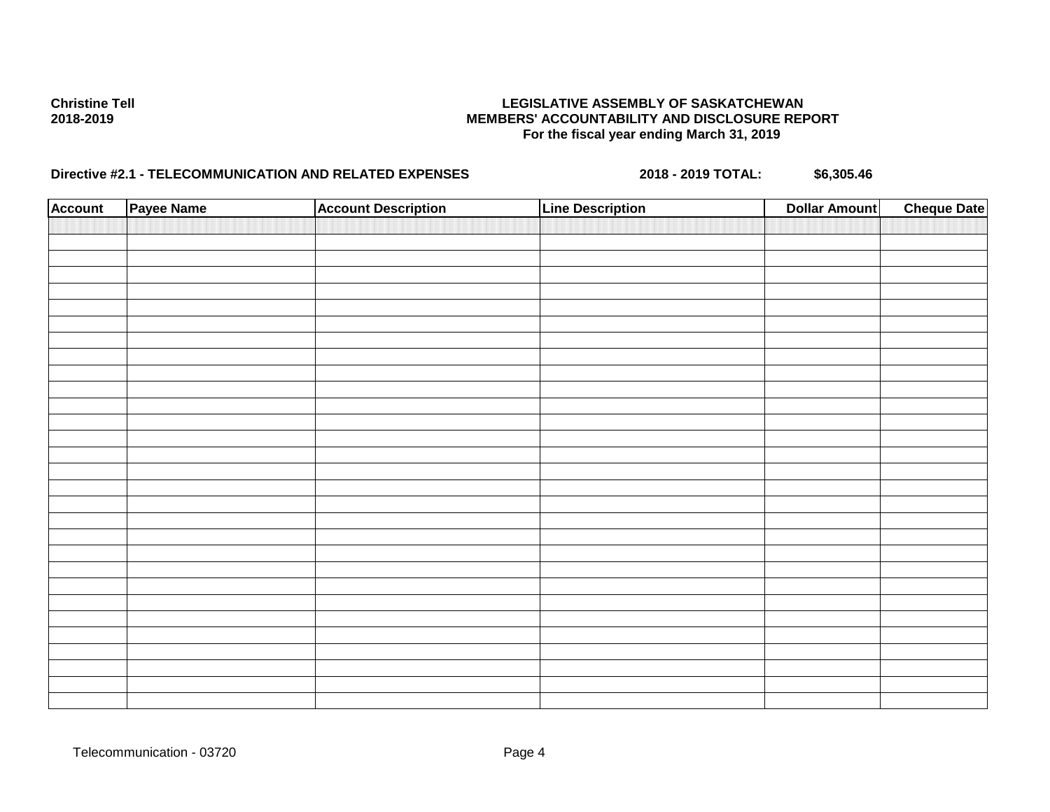| <b>Account</b> | Payee Name | <b>Account Description</b> | <b>Line Description</b> | <b>Dollar Amount</b> | <b>Cheque Date</b> |
|----------------|------------|----------------------------|-------------------------|----------------------|--------------------|
|                |            |                            |                         |                      |                    |
|                |            |                            |                         |                      |                    |
|                |            |                            |                         |                      |                    |
|                |            |                            |                         |                      |                    |
|                |            |                            |                         |                      |                    |
|                |            |                            |                         |                      |                    |
|                |            |                            |                         |                      |                    |
|                |            |                            |                         |                      |                    |
|                |            |                            |                         |                      |                    |
|                |            |                            |                         |                      |                    |
|                |            |                            |                         |                      |                    |
|                |            |                            |                         |                      |                    |
|                |            |                            |                         |                      |                    |
|                |            |                            |                         |                      |                    |
|                |            |                            |                         |                      |                    |
|                |            |                            |                         |                      |                    |
|                |            |                            |                         |                      |                    |
|                |            |                            |                         |                      |                    |
|                |            |                            |                         |                      |                    |
|                |            |                            |                         |                      |                    |
|                |            |                            |                         |                      |                    |
|                |            |                            |                         |                      |                    |
|                |            |                            |                         |                      |                    |
|                |            |                            |                         |                      |                    |
|                |            |                            |                         |                      |                    |
|                |            |                            |                         |                      |                    |
|                |            |                            |                         |                      |                    |
|                |            |                            |                         |                      |                    |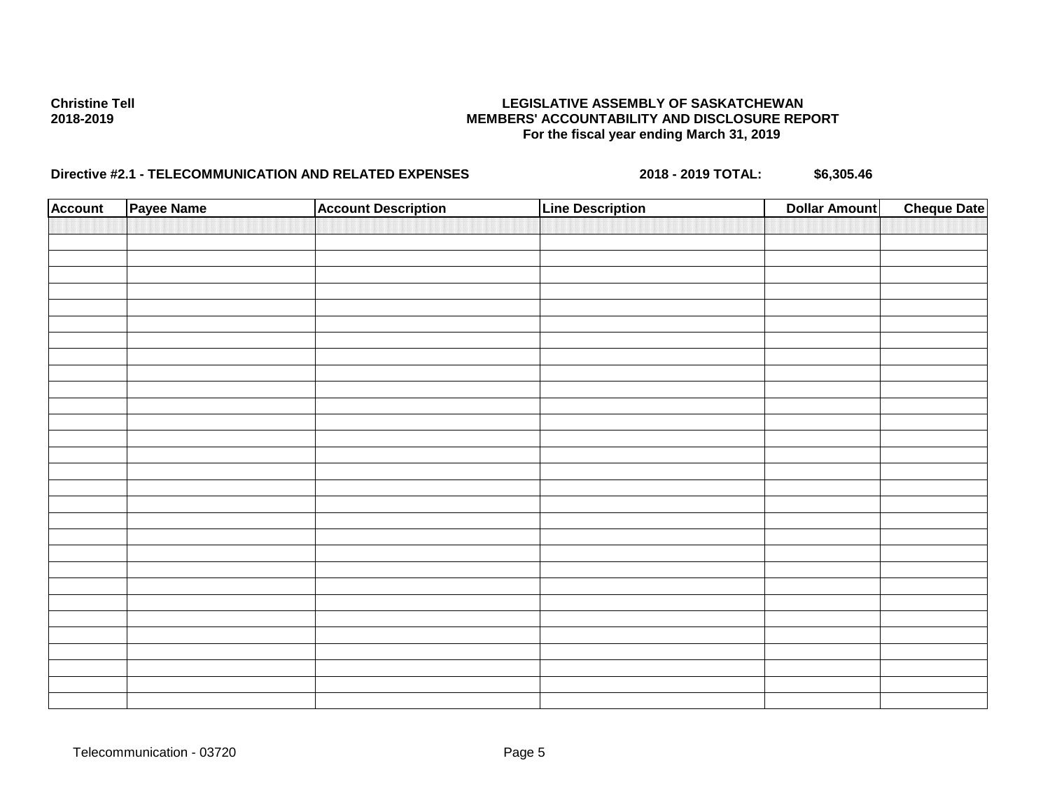| <b>Account</b> | Payee Name | <b>Account Description</b> | <b>Line Description</b> | <b>Dollar Amount</b> | <b>Cheque Date</b> |
|----------------|------------|----------------------------|-------------------------|----------------------|--------------------|
|                |            |                            |                         |                      |                    |
|                |            |                            |                         |                      |                    |
|                |            |                            |                         |                      |                    |
|                |            |                            |                         |                      |                    |
|                |            |                            |                         |                      |                    |
|                |            |                            |                         |                      |                    |
|                |            |                            |                         |                      |                    |
|                |            |                            |                         |                      |                    |
|                |            |                            |                         |                      |                    |
|                |            |                            |                         |                      |                    |
|                |            |                            |                         |                      |                    |
|                |            |                            |                         |                      |                    |
|                |            |                            |                         |                      |                    |
|                |            |                            |                         |                      |                    |
|                |            |                            |                         |                      |                    |
|                |            |                            |                         |                      |                    |
|                |            |                            |                         |                      |                    |
|                |            |                            |                         |                      |                    |
|                |            |                            |                         |                      |                    |
|                |            |                            |                         |                      |                    |
|                |            |                            |                         |                      |                    |
|                |            |                            |                         |                      |                    |
|                |            |                            |                         |                      |                    |
|                |            |                            |                         |                      |                    |
|                |            |                            |                         |                      |                    |
|                |            |                            |                         |                      |                    |
|                |            |                            |                         |                      |                    |
|                |            |                            |                         |                      |                    |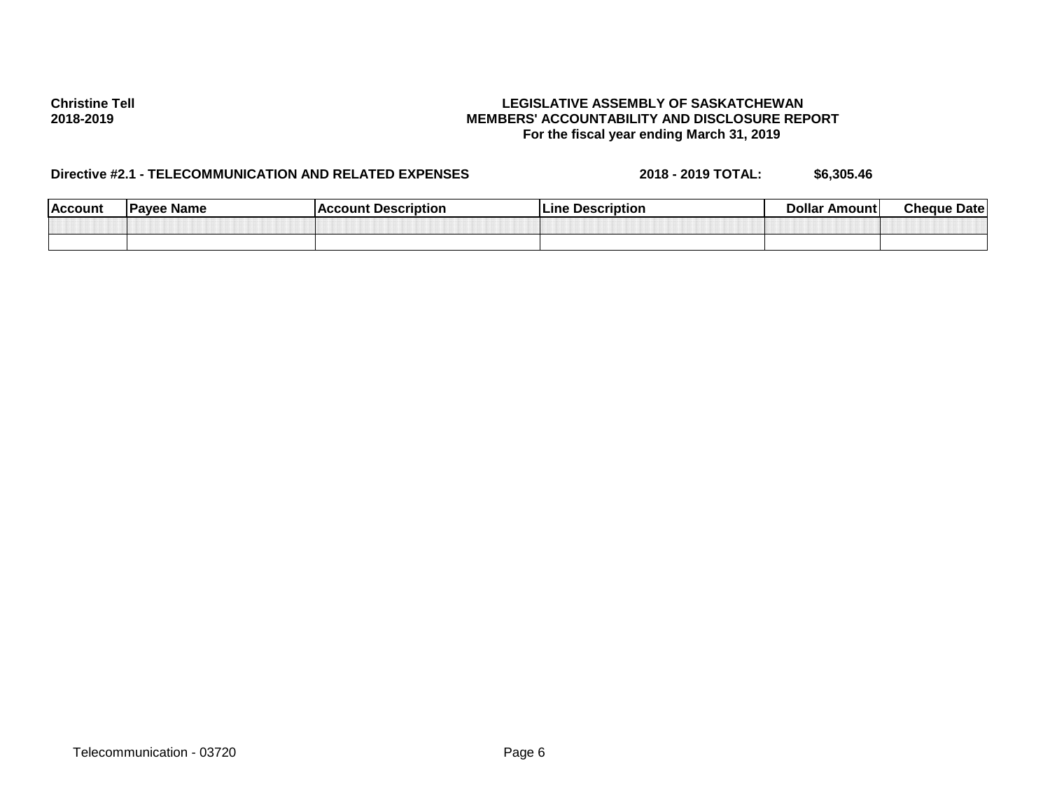| <b>Account</b> | ⊧ Name<br>Pavee | <b>Description</b><br>coun. | <b>Description</b><br>∟ine | Dollar<br>Amount | <b>Cheque</b><br>Date' |
|----------------|-----------------|-----------------------------|----------------------------|------------------|------------------------|
|                |                 |                             |                            |                  |                        |
|                |                 |                             |                            |                  |                        |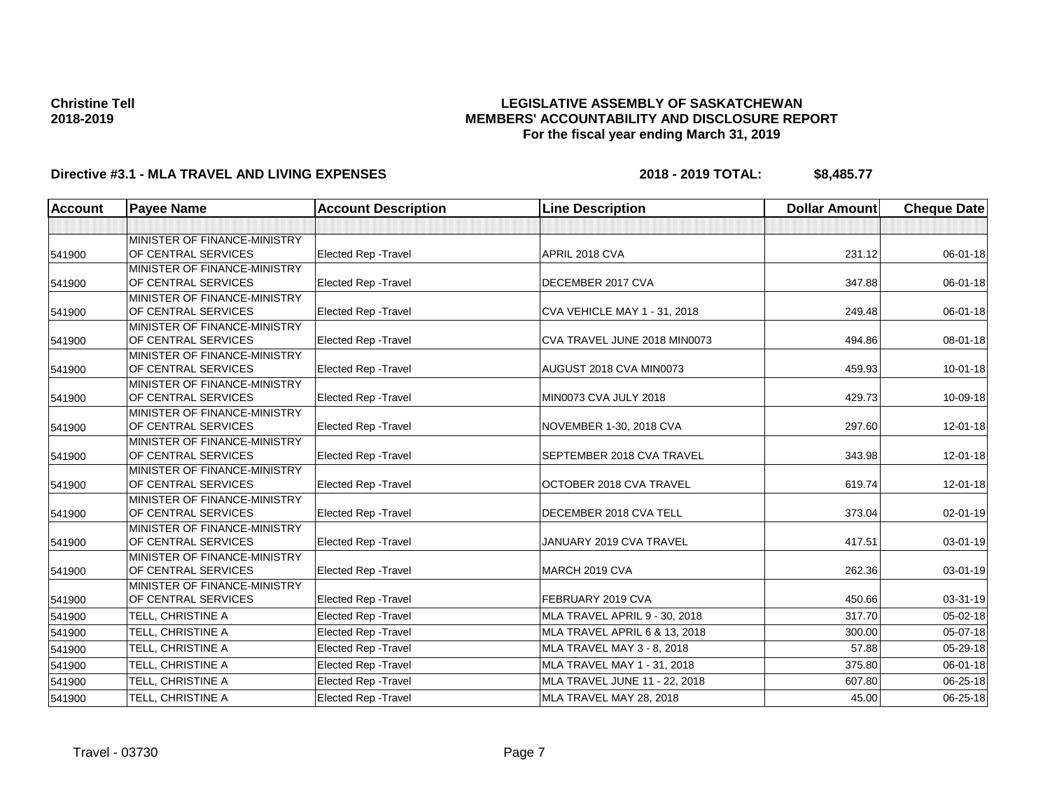## **LEGISLATIVE ASSEMBLY OF SASKATCHEWAN MEMBERS' ACCOUNTABILITY AND DISCLOSURE REPORT For the fiscal year ending March 31, 2019**

| Account | <b>Payee Name</b>                                   | <b>Account Description</b>  | <b>Line Description</b>       | <b>Dollar Amount</b> | <b>Cheque Date</b> |
|---------|-----------------------------------------------------|-----------------------------|-------------------------------|----------------------|--------------------|
|         |                                                     |                             |                               |                      |                    |
|         | MINISTER OF FINANCE-MINISTRY                        |                             |                               |                      |                    |
| 541900  | OF CENTRAL SERVICES                                 | Elected Rep - Travel        | APRIL 2018 CVA                | 231.12               | 06-01-18           |
|         | MINISTER OF FINANCE-MINISTRY                        |                             |                               |                      |                    |
| 541900  | OF CENTRAL SERVICES                                 | <b>Elected Rep - Travel</b> | DECEMBER 2017 CVA             | 347.88               | 06-01-18           |
|         | MINISTER OF FINANCE-MINISTRY                        |                             |                               |                      |                    |
| 541900  | OF CENTRAL SERVICES                                 | <b>Elected Rep - Travel</b> | CVA VEHICLE MAY 1 - 31, 2018  | 249.48               | 06-01-18           |
|         | MINISTER OF FINANCE-MINISTRY                        |                             |                               |                      |                    |
| 541900  | OF CENTRAL SERVICES                                 | <b>Elected Rep - Travel</b> | CVA TRAVEL JUNE 2018 MIN0073  | 494.86               | 08-01-18           |
|         | MINISTER OF FINANCE-MINISTRY                        |                             |                               |                      |                    |
| 541900  | OF CENTRAL SERVICES                                 | <b>Elected Rep - Travel</b> | AUGUST 2018 CVA MIN0073       | 459.93               | $10 - 01 - 18$     |
|         | MINISTER OF FINANCE-MINISTRY                        |                             |                               |                      |                    |
| 541900  | OF CENTRAL SERVICES                                 | Elected Rep - Travel        | MIN0073 CVA JULY 2018         | 429.73               | 10-09-18           |
|         | MINISTER OF FINANCE-MINISTRY<br>OF CENTRAL SERVICES | <b>Elected Rep - Travel</b> | NOVEMBER 1-30, 2018 CVA       | 297.60               | $12 - 01 - 18$     |
| 541900  |                                                     |                             |                               |                      |                    |
| 541900  | MINISTER OF FINANCE-MINISTRY<br>OF CENTRAL SERVICES | <b>Elected Rep - Travel</b> | SEPTEMBER 2018 CVA TRAVEL     | 343.98               | $12 - 01 - 18$     |
|         | MINISTER OF FINANCE-MINISTRY                        |                             |                               |                      |                    |
| 541900  | OF CENTRAL SERVICES                                 | <b>Elected Rep - Travel</b> | OCTOBER 2018 CVA TRAVEL       | 619.74               | 12-01-18           |
|         | MINISTER OF FINANCE-MINISTRY                        |                             |                               |                      |                    |
| 541900  | OF CENTRAL SERVICES                                 | <b>Elected Rep - Travel</b> | DECEMBER 2018 CVA TELL        | 373.04               | 02-01-19           |
|         | MINISTER OF FINANCE-MINISTRY                        |                             |                               |                      |                    |
| 541900  | OF CENTRAL SERVICES                                 | <b>Elected Rep - Travel</b> | JANUARY 2019 CVA TRAVEL       | 417.51               | 03-01-19           |
|         | MINISTER OF FINANCE-MINISTRY                        |                             |                               |                      |                    |
| 541900  | OF CENTRAL SERVICES                                 | <b>Elected Rep - Travel</b> | MARCH 2019 CVA                | 262.36               | 03-01-19           |
|         | MINISTER OF FINANCE-MINISTRY                        |                             |                               |                      |                    |
| 541900  | OF CENTRAL SERVICES                                 | <b>Elected Rep - Travel</b> | FEBRUARY 2019 CVA             | 450.66               | 03-31-19           |
| 541900  | TELL, CHRISTINE A                                   | <b>Elected Rep - Travel</b> | MLA TRAVEL APRIL 9 - 30, 2018 | 317.70               | 05-02-18           |
| 541900  | TELL, CHRISTINE A                                   | <b>Elected Rep - Travel</b> | MLA TRAVEL APRIL 6 & 13, 2018 | 300.00               | $05-07-18$         |
| 541900  | TELL. CHRISTINE A                                   | <b>Elected Rep - Travel</b> | MLA TRAVEL MAY 3 - 8, 2018    | 57.88                | 05-29-18           |
| 541900  | TELL, CHRISTINE A                                   | Elected Rep - Travel        | MLA TRAVEL MAY 1 - 31, 2018   | 375.80               | 06-01-18           |
| 541900  | TELL, CHRISTINE A                                   | <b>Elected Rep - Travel</b> | MLA TRAVEL JUNE 11 - 22, 2018 | 607.80               | 06-25-18           |
| 541900  | TELL, CHRISTINE A                                   | <b>Elected Rep - Travel</b> | MLA TRAVEL MAY 28, 2018       | 45.00                | 06-25-18           |
|         |                                                     |                             |                               |                      |                    |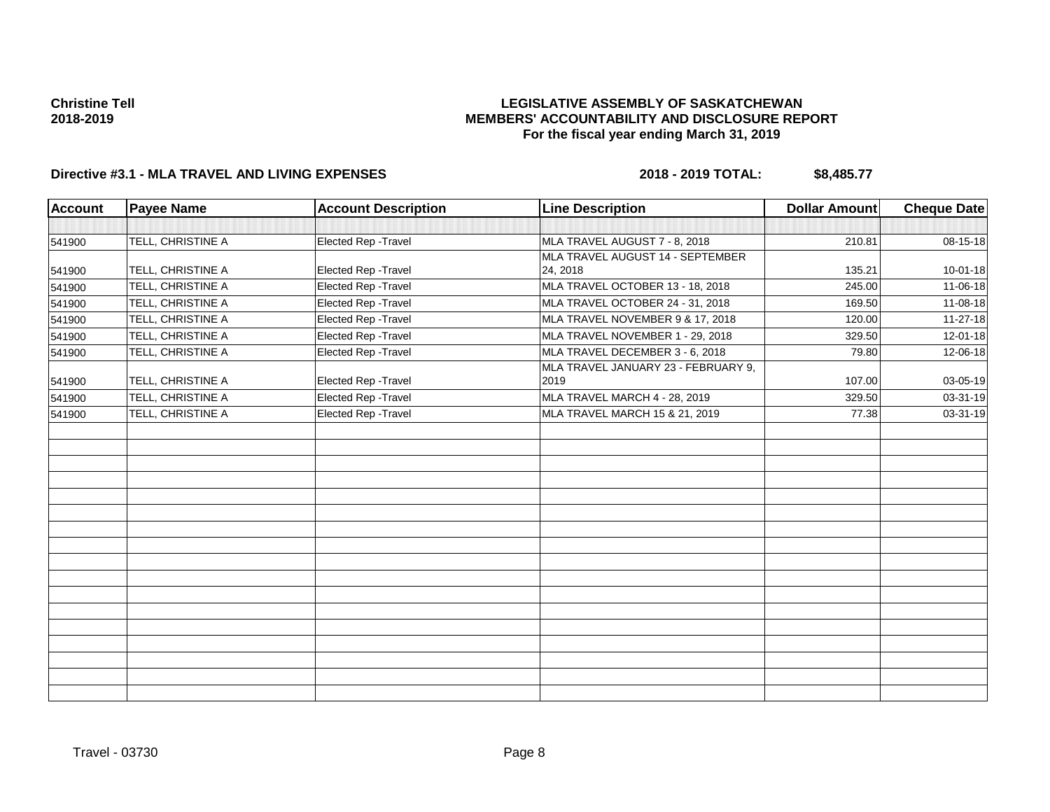## **LEGISLATIVE ASSEMBLY OF SASKATCHEWAN MEMBERS' ACCOUNTABILITY AND DISCLOSURE REPORT For the fiscal year ending March 31, 2019**

| <b>Account</b> | <b>Payee Name</b> | <b>Account Description</b> | <b>Line Description</b>                     | <b>Dollar Amount</b> | <b>Cheque Date</b> |
|----------------|-------------------|----------------------------|---------------------------------------------|----------------------|--------------------|
|                |                   |                            |                                             |                      |                    |
| 541900         | TELL, CHRISTINE A | Elected Rep - Travel       | MLA TRAVEL AUGUST 7 - 8, 2018               | 210.81               | 08-15-18           |
|                |                   |                            | MLA TRAVEL AUGUST 14 - SEPTEMBER            |                      |                    |
| 541900         | TELL, CHRISTINE A | Elected Rep - Travel       | 24, 2018                                    | 135.21               | $10 - 01 - 18$     |
| 541900         | TELL, CHRISTINE A | Elected Rep - Travel       | MLA TRAVEL OCTOBER 13 - 18, 2018            | 245.00               | 11-06-18           |
| 541900         | TELL, CHRISTINE A | Elected Rep - Travel       | MLA TRAVEL OCTOBER 24 - 31, 2018            | 169.50               | 11-08-18           |
| 541900         | TELL, CHRISTINE A | Elected Rep - Travel       | MLA TRAVEL NOVEMBER 9 & 17, 2018            | 120.00               | $11-27-18$         |
| 541900         | TELL, CHRISTINE A | Elected Rep - Travel       | MLA TRAVEL NOVEMBER 1 - 29, 2018            | 329.50               | 12-01-18           |
| 541900         | TELL, CHRISTINE A | Elected Rep - Travel       | MLA TRAVEL DECEMBER 3 - 6, 2018             | 79.80                | 12-06-18           |
| 541900         | TELL, CHRISTINE A | Elected Rep - Travel       | MLA TRAVEL JANUARY 23 - FEBRUARY 9,<br>2019 | 107.00               | 03-05-19           |
| 541900         | TELL, CHRISTINE A | Elected Rep - Travel       | MLA TRAVEL MARCH 4 - 28, 2019               | 329.50               | 03-31-19           |
| 541900         | TELL, CHRISTINE A | Elected Rep - Travel       | MLA TRAVEL MARCH 15 & 21, 2019              | 77.38                | 03-31-19           |
|                |                   |                            |                                             |                      |                    |
|                |                   |                            |                                             |                      |                    |
|                |                   |                            |                                             |                      |                    |
|                |                   |                            |                                             |                      |                    |
|                |                   |                            |                                             |                      |                    |
|                |                   |                            |                                             |                      |                    |
|                |                   |                            |                                             |                      |                    |
|                |                   |                            |                                             |                      |                    |
|                |                   |                            |                                             |                      |                    |
|                |                   |                            |                                             |                      |                    |
|                |                   |                            |                                             |                      |                    |
|                |                   |                            |                                             |                      |                    |
|                |                   |                            |                                             |                      |                    |
|                |                   |                            |                                             |                      |                    |
|                |                   |                            |                                             |                      |                    |
|                |                   |                            |                                             |                      |                    |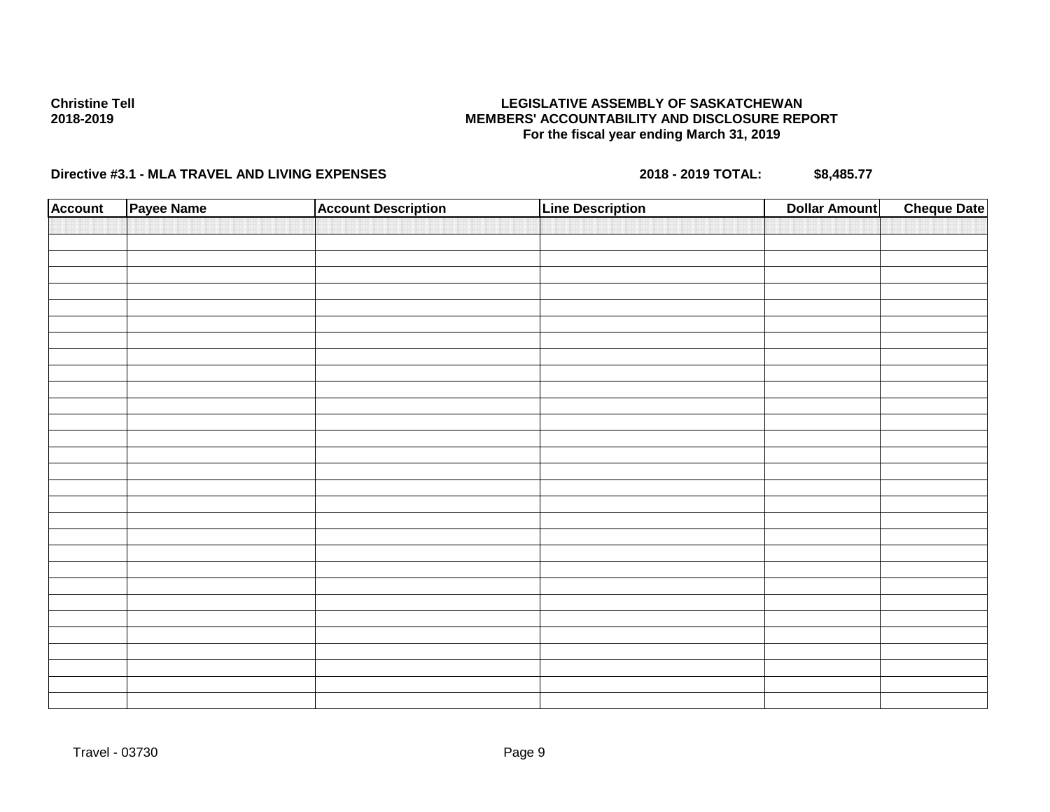## **LEGISLATIVE ASSEMBLY OF SASKATCHEWAN MEMBERS' ACCOUNTABILITY AND DISCLOSURE REPORT For the fiscal year ending March 31, 2019**

| <b>Account</b> | Payee Name | <b>Account Description</b> | <b>Line Description</b> | <b>Cheque Date</b><br><b>Dollar Amount</b> |
|----------------|------------|----------------------------|-------------------------|--------------------------------------------|
|                |            |                            |                         |                                            |
|                |            |                            |                         |                                            |
|                |            |                            |                         |                                            |
|                |            |                            |                         |                                            |
|                |            |                            |                         |                                            |
|                |            |                            |                         |                                            |
|                |            |                            |                         |                                            |
|                |            |                            |                         |                                            |
|                |            |                            |                         |                                            |
|                |            |                            |                         |                                            |
|                |            |                            |                         |                                            |
|                |            |                            |                         |                                            |
|                |            |                            |                         |                                            |
|                |            |                            |                         |                                            |
|                |            |                            |                         |                                            |
|                |            |                            |                         |                                            |
|                |            |                            |                         |                                            |
|                |            |                            |                         |                                            |
|                |            |                            |                         |                                            |
|                |            |                            |                         |                                            |
|                |            |                            |                         |                                            |
|                |            |                            |                         |                                            |
|                |            |                            |                         |                                            |
|                |            |                            |                         |                                            |
|                |            |                            |                         |                                            |
|                |            |                            |                         |                                            |
|                |            |                            |                         |                                            |
|                |            |                            |                         |                                            |
|                |            |                            |                         |                                            |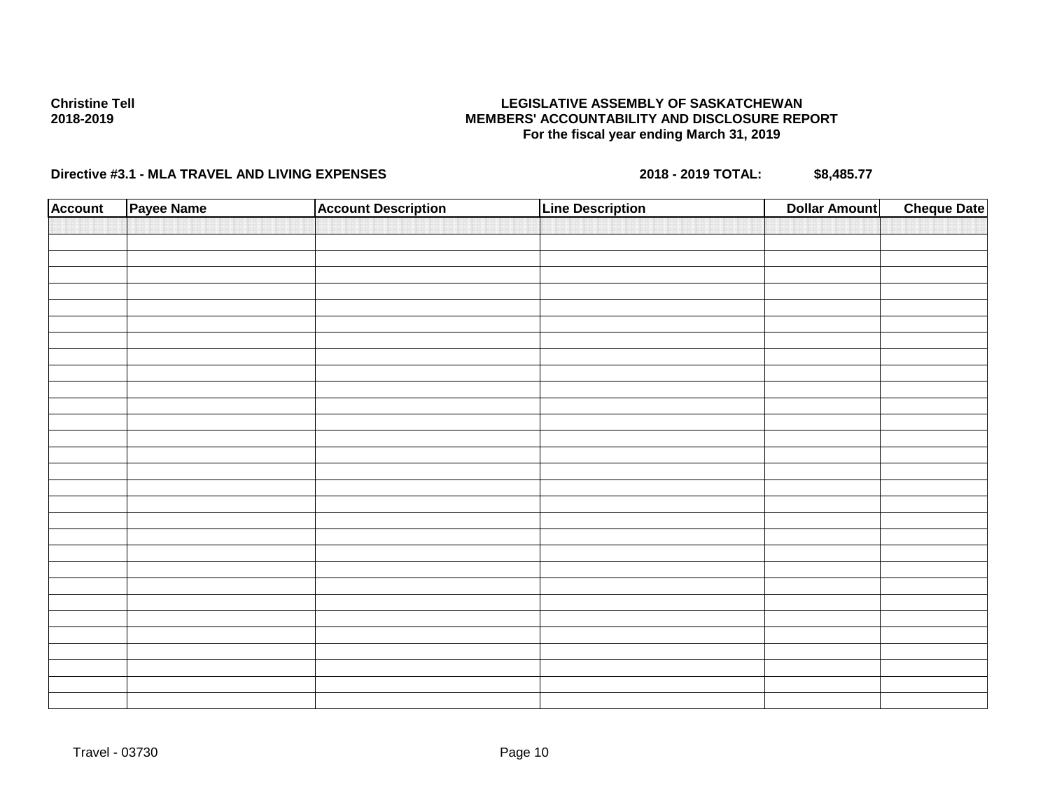## **LEGISLATIVE ASSEMBLY OF SASKATCHEWAN MEMBERS' ACCOUNTABILITY AND DISCLOSURE REPORT For the fiscal year ending March 31, 2019**

| <b>Account</b> | Payee Name | <b>Account Description</b> | <b>Line Description</b> | <b>Dollar Amount</b> | <b>Cheque Date</b> |
|----------------|------------|----------------------------|-------------------------|----------------------|--------------------|
|                |            |                            |                         |                      |                    |
|                |            |                            |                         |                      |                    |
|                |            |                            |                         |                      |                    |
|                |            |                            |                         |                      |                    |
|                |            |                            |                         |                      |                    |
|                |            |                            |                         |                      |                    |
|                |            |                            |                         |                      |                    |
|                |            |                            |                         |                      |                    |
|                |            |                            |                         |                      |                    |
|                |            |                            |                         |                      |                    |
|                |            |                            |                         |                      |                    |
|                |            |                            |                         |                      |                    |
|                |            |                            |                         |                      |                    |
|                |            |                            |                         |                      |                    |
|                |            |                            |                         |                      |                    |
|                |            |                            |                         |                      |                    |
|                |            |                            |                         |                      |                    |
|                |            |                            |                         |                      |                    |
|                |            |                            |                         |                      |                    |
|                |            |                            |                         |                      |                    |
|                |            |                            |                         |                      |                    |
|                |            |                            |                         |                      |                    |
|                |            |                            |                         |                      |                    |
|                |            |                            |                         |                      |                    |
|                |            |                            |                         |                      |                    |
|                |            |                            |                         |                      |                    |
|                |            |                            |                         |                      |                    |
|                |            |                            |                         |                      |                    |
|                |            |                            |                         |                      |                    |
|                |            |                            |                         |                      |                    |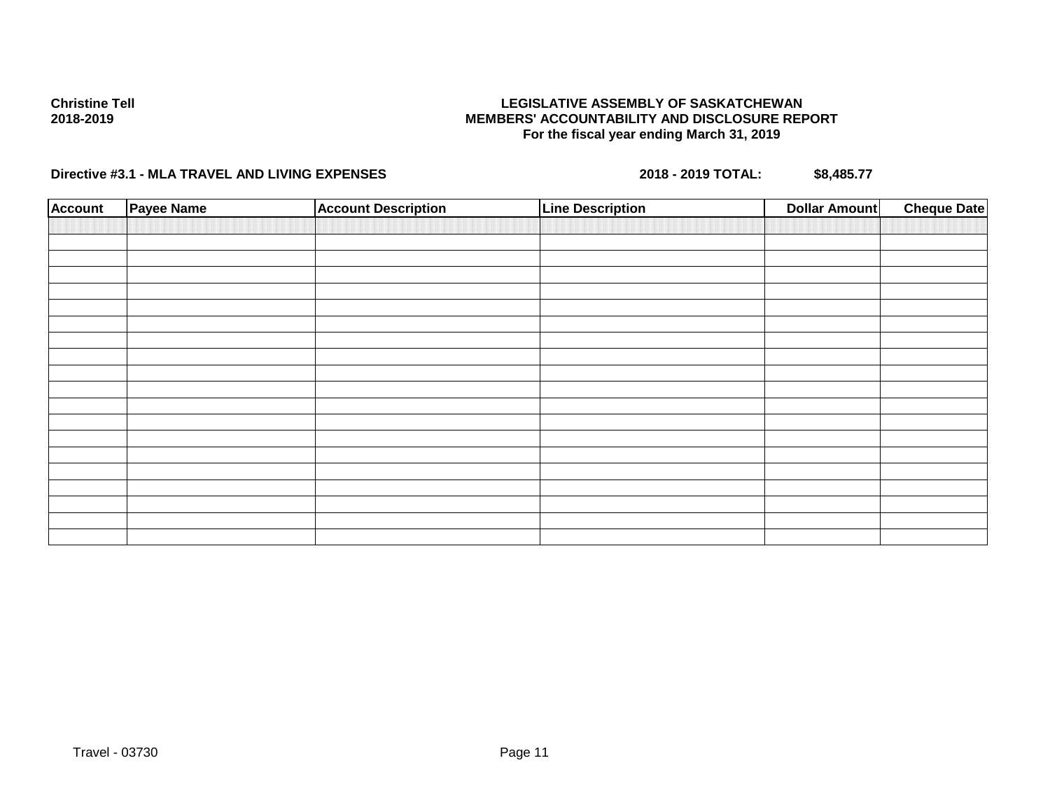## **LEGISLATIVE ASSEMBLY OF SASKATCHEWAN MEMBERS' ACCOUNTABILITY AND DISCLOSURE REPORT For the fiscal year ending March 31, 2019**

| <b>Account</b> | Payee Name | <b>Account Description</b> | <b>Line Description</b> | <b>Dollar Amount</b> | <b>Cheque Date</b> |
|----------------|------------|----------------------------|-------------------------|----------------------|--------------------|
|                |            |                            |                         |                      |                    |
|                |            |                            |                         |                      |                    |
|                |            |                            |                         |                      |                    |
|                |            |                            |                         |                      |                    |
|                |            |                            |                         |                      |                    |
|                |            |                            |                         |                      |                    |
|                |            |                            |                         |                      |                    |
|                |            |                            |                         |                      |                    |
|                |            |                            |                         |                      |                    |
|                |            |                            |                         |                      |                    |
|                |            |                            |                         |                      |                    |
|                |            |                            |                         |                      |                    |
|                |            |                            |                         |                      |                    |
|                |            |                            |                         |                      |                    |
|                |            |                            |                         |                      |                    |
|                |            |                            |                         |                      |                    |
|                |            |                            |                         |                      |                    |
|                |            |                            |                         |                      |                    |
|                |            |                            |                         |                      |                    |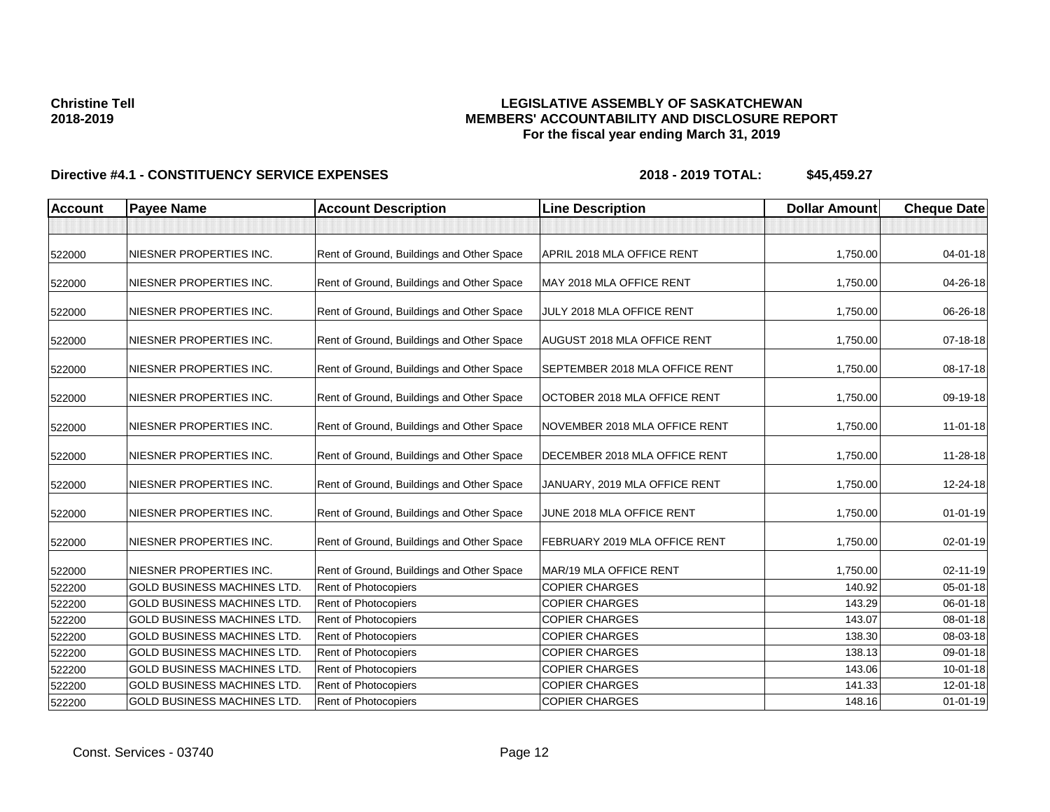## **LEGISLATIVE ASSEMBLY OF SASKATCHEWAN MEMBERS' ACCOUNTABILITY AND DISCLOSURE REPORT For the fiscal year ending March 31, 2019**

| <b>Account</b> | <b>Payee Name</b>                  | <b>Account Description</b>                | <b>Line Description</b>            | <b>Dollar Amount</b> | <b>Cheque Date</b> |
|----------------|------------------------------------|-------------------------------------------|------------------------------------|----------------------|--------------------|
|                |                                    |                                           |                                    |                      |                    |
| 522000         | NIESNER PROPERTIES INC.            | Rent of Ground, Buildings and Other Space | APRIL 2018 MLA OFFICE RENT         | 1,750.00             | 04-01-18           |
| 522000         | NIESNER PROPERTIES INC.            | Rent of Ground, Buildings and Other Space | MAY 2018 MLA OFFICE RENT           | 1,750.00             | 04-26-18           |
| 522000         | NIESNER PROPERTIES INC.            | Rent of Ground, Buildings and Other Space | JULY 2018 MLA OFFICE RENT          | 1,750.00             | 06-26-18           |
| 522000         | NIESNER PROPERTIES INC.            | Rent of Ground, Buildings and Other Space | <b>AUGUST 2018 MLA OFFICE RENT</b> | 1,750.00             | 07-18-18           |
| 522000         | NIESNER PROPERTIES INC.            | Rent of Ground, Buildings and Other Space | SEPTEMBER 2018 MLA OFFICE RENT     | 1,750.00             | 08-17-18           |
| 522000         | NIESNER PROPERTIES INC.            | Rent of Ground, Buildings and Other Space | OCTOBER 2018 MLA OFFICE RENT       | 1,750.00             | 09-19-18           |
| 522000         | NIESNER PROPERTIES INC.            | Rent of Ground, Buildings and Other Space | NOVEMBER 2018 MLA OFFICE RENT      | 1,750.00             | $11-01-18$         |
| 522000         | NIESNER PROPERTIES INC.            | Rent of Ground, Buildings and Other Space | DECEMBER 2018 MLA OFFICE RENT      | 1,750.00             | 11-28-18           |
| 522000         | NIESNER PROPERTIES INC.            | Rent of Ground, Buildings and Other Space | JANUARY, 2019 MLA OFFICE RENT      | 1,750.00             | 12-24-18           |
| 522000         | NIESNER PROPERTIES INC.            | Rent of Ground, Buildings and Other Space | JUNE 2018 MLA OFFICE RENT          | 1,750.00             | $01 - 01 - 19$     |
| 522000         | NIESNER PROPERTIES INC.            | Rent of Ground, Buildings and Other Space | FEBRUARY 2019 MLA OFFICE RENT      | 1,750.00             | $02 - 01 - 19$     |
| 522000         | NIESNER PROPERTIES INC.            | Rent of Ground, Buildings and Other Space | MAR/19 MLA OFFICE RENT             | 1,750.00             | $02 - 11 - 19$     |
| 522200         | <b>GOLD BUSINESS MACHINES LTD.</b> | <b>Rent of Photocopiers</b>               | <b>COPIER CHARGES</b>              | 140.92               | $05 - 01 - 18$     |
| 522200         | <b>GOLD BUSINESS MACHINES LTD.</b> | Rent of Photocopiers                      | <b>COPIER CHARGES</b>              | 143.29               | 06-01-18           |
| 522200         | <b>GOLD BUSINESS MACHINES LTD.</b> | Rent of Photocopiers                      | <b>COPIER CHARGES</b>              | 143.07               | 08-01-18           |
| 522200         | <b>GOLD BUSINESS MACHINES LTD.</b> | Rent of Photocopiers                      | <b>COPIER CHARGES</b>              | 138.30               | 08-03-18           |
| 522200         | <b>GOLD BUSINESS MACHINES LTD.</b> | Rent of Photocopiers                      | <b>COPIER CHARGES</b>              | 138.13               | 09-01-18           |
| 522200         | <b>GOLD BUSINESS MACHINES LTD.</b> | Rent of Photocopiers                      | <b>COPIER CHARGES</b>              | 143.06               | $10-01-18$         |
| 522200         | <b>GOLD BUSINESS MACHINES LTD</b>  | Rent of Photocopiers                      | <b>COPIER CHARGES</b>              | 141.33               | 12-01-18           |
| 522200         | <b>GOLD BUSINESS MACHINES LTD.</b> | Rent of Photocopiers                      | <b>COPIER CHARGES</b>              | 148.16               | $01 - 01 - 19$     |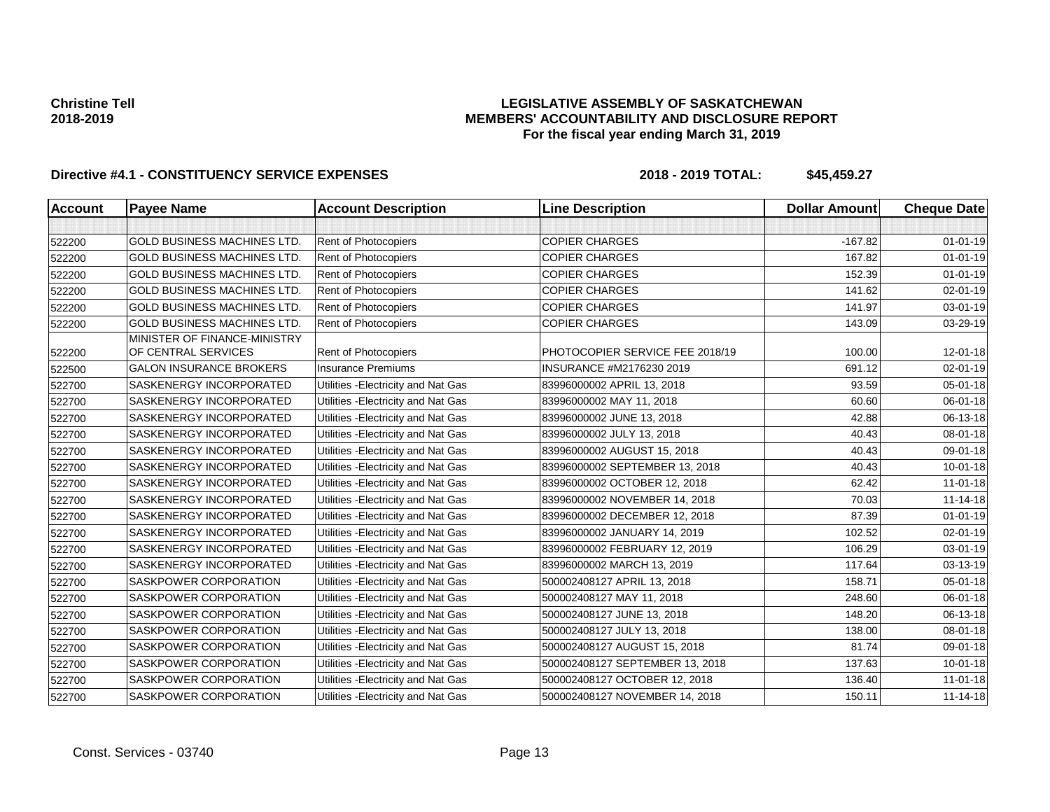## **LEGISLATIVE ASSEMBLY OF SASKATCHEWAN MEMBERS' ACCOUNTABILITY AND DISCLOSURE REPORT For the fiscal year ending March 31, 2019**

| <b>Account</b> | <b>Payee Name</b>                  | <b>Account Description</b>          | <b>Line Description</b>         | <b>Dollar Amount</b> | <b>Cheque Date</b> |
|----------------|------------------------------------|-------------------------------------|---------------------------------|----------------------|--------------------|
|                |                                    |                                     |                                 |                      |                    |
| 522200         | <b>GOLD BUSINESS MACHINES LTD.</b> | Rent of Photocopiers                | <b>COPIER CHARGES</b>           | $-167.82$            | $01 - 01 - 19$     |
| 522200         | <b>GOLD BUSINESS MACHINES LTD</b>  | Rent of Photocopiers                | <b>COPIER CHARGES</b>           | 167.82               | $01 - 01 - 19$     |
| 522200         | <b>GOLD BUSINESS MACHINES LTD.</b> | Rent of Photocopiers                | <b>COPIER CHARGES</b>           | 152.39               | $01 - 01 - 19$     |
| 522200         | <b>GOLD BUSINESS MACHINES LTD.</b> | Rent of Photocopiers                | <b>COPIER CHARGES</b>           | 141.62               | 02-01-19           |
| 522200         | <b>GOLD BUSINESS MACHINES LTD</b>  | Rent of Photocopiers                | <b>COPIER CHARGES</b>           | 141.97               | 03-01-19           |
| 522200         | <b>GOLD BUSINESS MACHINES LTD</b>  | Rent of Photocopiers                | <b>COPIER CHARGES</b>           | 143.09               | 03-29-19           |
|                | MINISTER OF FINANCE-MINISTRY       |                                     |                                 |                      |                    |
| 522200         | OF CENTRAL SERVICES                | Rent of Photocopiers                | PHOTOCOPIER SERVICE FEE 2018/19 | 100.00               | $12 - 01 - 18$     |
| 522500         | <b>GALON INSURANCE BROKERS</b>     | <b>Insurance Premiums</b>           | INSURANCE #M2176230 2019        | 691.12               | 02-01-19           |
| 522700         | SASKENERGY INCORPORATED            | Utilities - Electricity and Nat Gas | 83996000002 APRIL 13, 2018      | 93.59                | 05-01-18           |
| 522700         | SASKENERGY INCORPORATED            | Utilities - Electricity and Nat Gas | 83996000002 MAY 11, 2018        | 60.60                | 06-01-18           |
| 522700         | <b>SASKENERGY INCORPORATED</b>     | Utilities - Electricity and Nat Gas | 83996000002 JUNE 13, 2018       | 42.88                | 06-13-18           |
| 522700         | SASKENERGY INCORPORATED            | Utilities - Electricity and Nat Gas | 83996000002 JULY 13, 2018       | 40.43                | 08-01-18           |
| 522700         | SASKENERGY INCORPORATED            | Utilities - Electricity and Nat Gas | 83996000002 AUGUST 15, 2018     | 40.43                | 09-01-18           |
| 522700         | SASKENERGY INCORPORATED            | Utilities - Electricity and Nat Gas | 83996000002 SEPTEMBER 13, 2018  | 40.43                | $10 - 01 - 18$     |
| 522700         | SASKENERGY INCORPORATED            | Utilities - Electricity and Nat Gas | 83996000002 OCTOBER 12, 2018    | 62.42                | $11-01-18$         |
| 522700         | <b>SASKENERGY INCORPORATED</b>     | Utilities - Electricity and Nat Gas | 83996000002 NOVEMBER 14, 2018   | 70.03                | $11 - 14 - 18$     |
| 522700         | <b>SASKENERGY INCORPORATED</b>     | Utilities - Electricity and Nat Gas | 83996000002 DECEMBER 12, 2018   | 87.39                | $01 - 01 - 19$     |
| 522700         | SASKENERGY INCORPORATED            | Utilities - Electricity and Nat Gas | 83996000002 JANUARY 14, 2019    | 102.52               | $02 - 01 - 19$     |
| 522700         | SASKENERGY INCORPORATED            | Utilities - Electricity and Nat Gas | 83996000002 FEBRUARY 12, 2019   | 106.29               | 03-01-19           |
| 522700         | SASKENERGY INCORPORATED            | Utilities - Electricity and Nat Gas | 83996000002 MARCH 13, 2019      | 117.64               | 03-13-19           |
| 522700         | <b>SASKPOWER CORPORATION</b>       | Utilities - Electricity and Nat Gas | 500002408127 APRIL 13, 2018     | 158.71               | $05 - 01 - 18$     |
| 522700         | SASKPOWER CORPORATION              | Utilities - Electricity and Nat Gas | 500002408127 MAY 11, 2018       | 248.60               | 06-01-18           |
| 522700         | <b>SASKPOWER CORPORATION</b>       | Utilities - Electricity and Nat Gas | 500002408127 JUNE 13, 2018      | 148.20               | 06-13-18           |
| 522700         | <b>SASKPOWER CORPORATION</b>       | Utilities - Electricity and Nat Gas | 500002408127 JULY 13, 2018      | 138.00               | 08-01-18           |
| 522700         | <b>SASKPOWER CORPORATION</b>       | Utilities - Electricity and Nat Gas | 500002408127 AUGUST 15, 2018    | 81.74                | 09-01-18           |
| 522700         | <b>SASKPOWER CORPORATION</b>       | Utilities - Electricity and Nat Gas | 500002408127 SEPTEMBER 13, 2018 | 137.63               | $10 - 01 - 18$     |
| 522700         | SASKPOWER CORPORATION              | Utilities - Electricity and Nat Gas | 500002408127 OCTOBER 12, 2018   | 136.40               | $11 - 01 - 18$     |
| 522700         | SASKPOWER CORPORATION              | Utilities - Electricity and Nat Gas | 500002408127 NOVEMBER 14, 2018  | 150.11               | $11 - 14 - 18$     |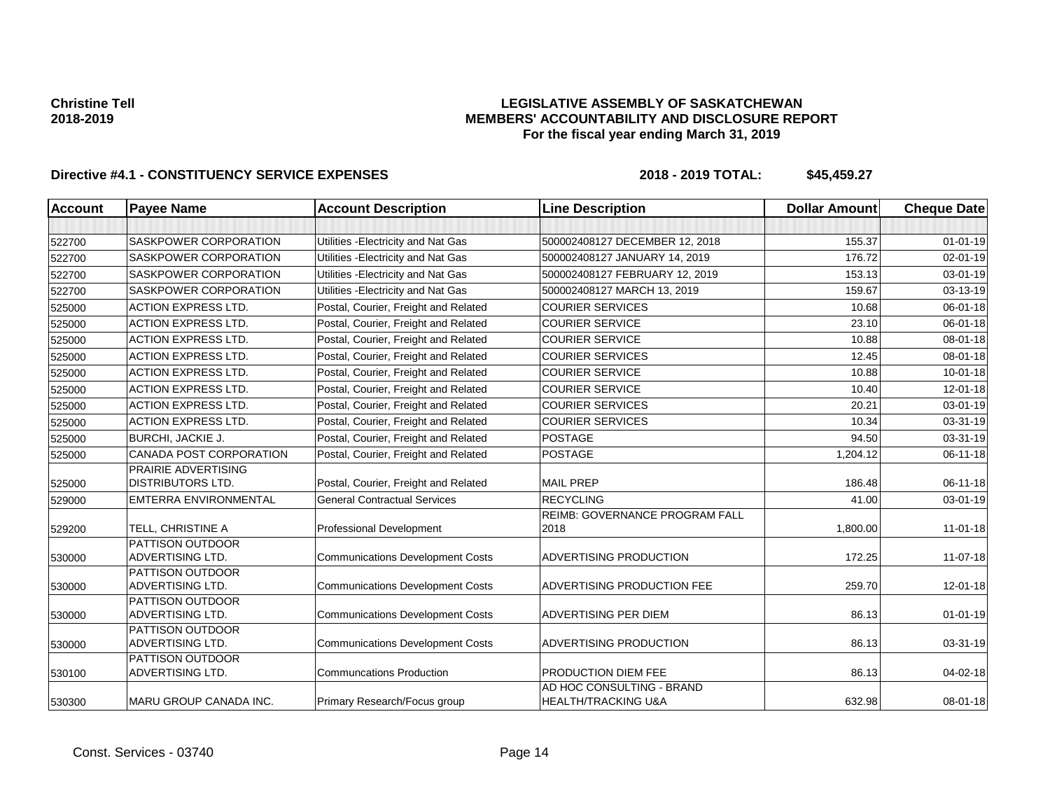## **LEGISLATIVE ASSEMBLY OF SASKATCHEWAN MEMBERS' ACCOUNTABILITY AND DISCLOSURE REPORT For the fiscal year ending March 31, 2019**

| <b>Account</b> | <b>Payee Name</b>                               | <b>Account Description</b>              | <b>Line Description</b>                                     | <b>Dollar Amount</b> | <b>Cheque Date</b> |
|----------------|-------------------------------------------------|-----------------------------------------|-------------------------------------------------------------|----------------------|--------------------|
|                |                                                 |                                         |                                                             |                      |                    |
| 522700         | SASKPOWER CORPORATION                           | Utilities - Electricity and Nat Gas     | 500002408127 DECEMBER 12, 2018                              | 155.37               | $01 - 01 - 19$     |
| 522700         | SASKPOWER CORPORATION                           | Utilities - Electricity and Nat Gas     | 500002408127 JANUARY 14, 2019                               | 176.72               | $02 - 01 - 19$     |
| 522700         | SASKPOWER CORPORATION                           | Utilities - Electricity and Nat Gas     | 500002408127 FEBRUARY 12, 2019                              | 153.13               | $03 - 01 - 19$     |
| 522700         | SASKPOWER CORPORATION                           | Utilities - Electricity and Nat Gas     | 500002408127 MARCH 13, 2019                                 | 159.67               | 03-13-19           |
| 525000         | <b>ACTION EXPRESS LTD.</b>                      | Postal, Courier, Freight and Related    | <b>COURIER SERVICES</b>                                     | 10.68                | $06 - 01 - 18$     |
| 525000         | <b>ACTION EXPRESS LTD.</b>                      | Postal, Courier, Freight and Related    | <b>COURIER SERVICE</b>                                      | 23.10                | $06 - 01 - 18$     |
| 525000         | <b>ACTION EXPRESS LTD.</b>                      | Postal, Courier, Freight and Related    | <b>COURIER SERVICE</b>                                      | 10.88                | $08 - 01 - 18$     |
| 525000         | <b>ACTION EXPRESS LTD.</b>                      | Postal, Courier, Freight and Related    | <b>COURIER SERVICES</b>                                     | 12.45                | 08-01-18           |
| 525000         | <b>ACTION EXPRESS LTD.</b>                      | Postal, Courier, Freight and Related    | <b>COURIER SERVICE</b>                                      | 10.88                | 10-01-18           |
| 525000         | <b>ACTION EXPRESS LTD.</b>                      | Postal, Courier, Freight and Related    | <b>COURIER SERVICE</b>                                      | 10.40                | 12-01-18           |
| 525000         | <b>ACTION EXPRESS LTD.</b>                      | Postal, Courier, Freight and Related    | <b>COURIER SERVICES</b>                                     | 20.21                | 03-01-19           |
| 525000         | <b>ACTION EXPRESS LTD.</b>                      | Postal, Courier, Freight and Related    | <b>COURIER SERVICES</b>                                     | 10.34                | 03-31-19           |
| 525000         | BURCHI, JACKIE J.                               | Postal, Courier, Freight and Related    | <b>POSTAGE</b>                                              | 94.50                | 03-31-19           |
| 525000         | CANADA POST CORPORATION                         | Postal, Courier, Freight and Related    | <b>POSTAGE</b>                                              | 1,204.12             | 06-11-18           |
| 525000         | PRAIRIE ADVERTISING<br><b>DISTRIBUTORS LTD.</b> | Postal, Courier, Freight and Related    | <b>MAIL PREP</b>                                            | 186.48               | 06-11-18           |
| 529000         | <b>EMTERRA ENVIRONMENTAL</b>                    | <b>General Contractual Services</b>     | <b>RECYCLING</b>                                            | 41.00                | 03-01-19           |
| 529200         | TELL, CHRISTINE A                               | Professional Development                | <b>REIMB: GOVERNANCE PROGRAM FALL</b><br>2018               | 1,800.00             | $11 - 01 - 18$     |
| 530000         | PATTISON OUTDOOR<br>ADVERTISING LTD.            | <b>Communications Development Costs</b> | <b>ADVERTISING PRODUCTION</b>                               | 172.25               | 11-07-18           |
| 530000         | PATTISON OUTDOOR<br>ADVERTISING LTD.            | <b>Communications Development Costs</b> | ADVERTISING PRODUCTION FEE                                  | 259.70               | $12 - 01 - 18$     |
| 530000         | PATTISON OUTDOOR<br>ADVERTISING LTD.            | <b>Communications Development Costs</b> | <b>ADVERTISING PER DIEM</b>                                 | 86.13                | $01 - 01 - 19$     |
| 530000         | PATTISON OUTDOOR<br><b>ADVERTISING LTD.</b>     | <b>Communications Development Costs</b> | ADVERTISING PRODUCTION                                      | 86.13                | 03-31-19           |
| 530100         | PATTISON OUTDOOR<br>ADVERTISING LTD.            | <b>Communcations Production</b>         | <b>PRODUCTION DIEM FEE</b>                                  | 86.13                | 04-02-18           |
| 530300         | <b>MARU GROUP CANADA INC.</b>                   | Primary Research/Focus group            | AD HOC CONSULTING - BRAND<br><b>HEALTH/TRACKING U&amp;A</b> | 632.98               | 08-01-18           |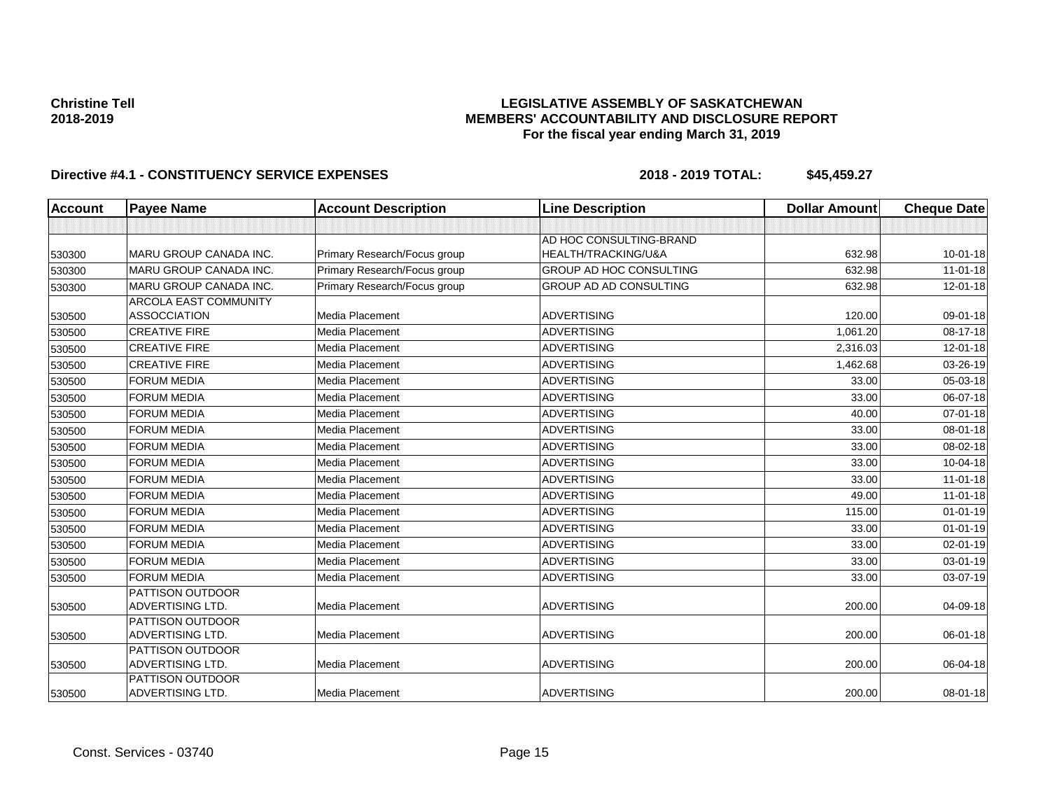## **LEGISLATIVE ASSEMBLY OF SASKATCHEWAN MEMBERS' ACCOUNTABILITY AND DISCLOSURE REPORT For the fiscal year ending March 31, 2019**

| <b>Account</b> | <b>Payee Name</b>                    | <b>Account Description</b>   | <b>Line Description</b>        | <b>Dollar Amount</b> | <b>Cheque Date</b> |
|----------------|--------------------------------------|------------------------------|--------------------------------|----------------------|--------------------|
|                |                                      |                              |                                |                      |                    |
|                |                                      |                              | AD HOC CONSULTING-BRAND        |                      |                    |
| 530300         | MARU GROUP CANADA INC.               | Primary Research/Focus group | HEALTH/TRACKING/U&A            | 632.98               | $10 - 01 - 18$     |
| 530300         | <b>MARU GROUP CANADA INC.</b>        | Primary Research/Focus group | <b>GROUP AD HOC CONSULTING</b> | 632.98               | $11-01-18$         |
| 530300         | MARU GROUP CANADA INC.               | Primary Research/Focus group | GROUP AD AD CONSULTING         | 632.98               | 12-01-18           |
|                | <b>ARCOLA EAST COMMUNITY</b>         |                              |                                |                      |                    |
| 530500         | <b>ASSOCCIATION</b>                  | Media Placement              | <b>ADVERTISING</b>             | 120.00               | 09-01-18           |
| 530500         | <b>CREATIVE FIRE</b>                 | Media Placement              | <b>ADVERTISING</b>             | 1,061.20             | 08-17-18           |
| 530500         | <b>CREATIVE FIRE</b>                 | Media Placement              | <b>ADVERTISING</b>             | 2,316.03             | $12 - 01 - 18$     |
| 530500         | <b>CREATIVE FIRE</b>                 | Media Placement              | <b>ADVERTISING</b>             | 1,462.68             | 03-26-19           |
| 530500         | <b>FORUM MEDIA</b>                   | Media Placement              | <b>ADVERTISING</b>             | 33.00                | 05-03-18           |
| 530500         | <b>FORUM MEDIA</b>                   | Media Placement              | <b>ADVERTISING</b>             | 33.00                | 06-07-18           |
| 530500         | <b>FORUM MEDIA</b>                   | Media Placement              | <b>ADVERTISING</b>             | 40.00                | $07 - 01 - 18$     |
| 530500         | <b>FORUM MEDIA</b>                   | Media Placement              | <b>ADVERTISING</b>             | 33.00                | 08-01-18           |
| 530500         | <b>FORUM MEDIA</b>                   | Media Placement              | <b>ADVERTISING</b>             | 33.00                | 08-02-18           |
| 530500         | <b>FORUM MEDIA</b>                   | <b>Media Placement</b>       | <b>ADVERTISING</b>             | 33.00                | 10-04-18           |
| 530500         | <b>FORUM MEDIA</b>                   | Media Placement              | <b>ADVERTISING</b>             | 33.00                | $11-01-18$         |
| 530500         | <b>FORUM MEDIA</b>                   | Media Placement              | <b>ADVERTISING</b>             | 49.00                | $11-01-18$         |
| 530500         | <b>FORUM MEDIA</b>                   | Media Placement              | <b>ADVERTISING</b>             | 115.00               | $01 - 01 - 19$     |
| 530500         | <b>FORUM MEDIA</b>                   | Media Placement              | <b>ADVERTISING</b>             | 33.00                | $01 - 01 - 19$     |
| 530500         | <b>FORUM MEDIA</b>                   | Media Placement              | <b>ADVERTISING</b>             | 33.00                | 02-01-19           |
| 530500         | <b>FORUM MEDIA</b>                   | Media Placement              | <b>ADVERTISING</b>             | 33.00                | 03-01-19           |
| 530500         | <b>FORUM MEDIA</b>                   | Media Placement              | <b>ADVERTISING</b>             | 33.00                | 03-07-19           |
|                | PATTISON OUTDOOR                     |                              |                                |                      |                    |
| 530500         | <b>ADVERTISING LTD.</b>              | Media Placement              | <b>ADVERTISING</b>             | 200.00               | 04-09-18           |
|                | PATTISON OUTDOOR                     |                              |                                |                      |                    |
| 530500         | ADVERTISING LTD.                     | Media Placement              | <b>ADVERTISING</b>             | 200.00               | 06-01-18           |
|                | PATTISON OUTDOOR                     |                              |                                |                      |                    |
| 530500         | ADVERTISING LTD.                     | Media Placement              | <b>ADVERTISING</b>             | 200.00               | 06-04-18           |
| 530500         | PATTISON OUTDOOR<br>ADVERTISING LTD. | Media Placement              | ADVERTISING                    | 200.00               | 08-01-18           |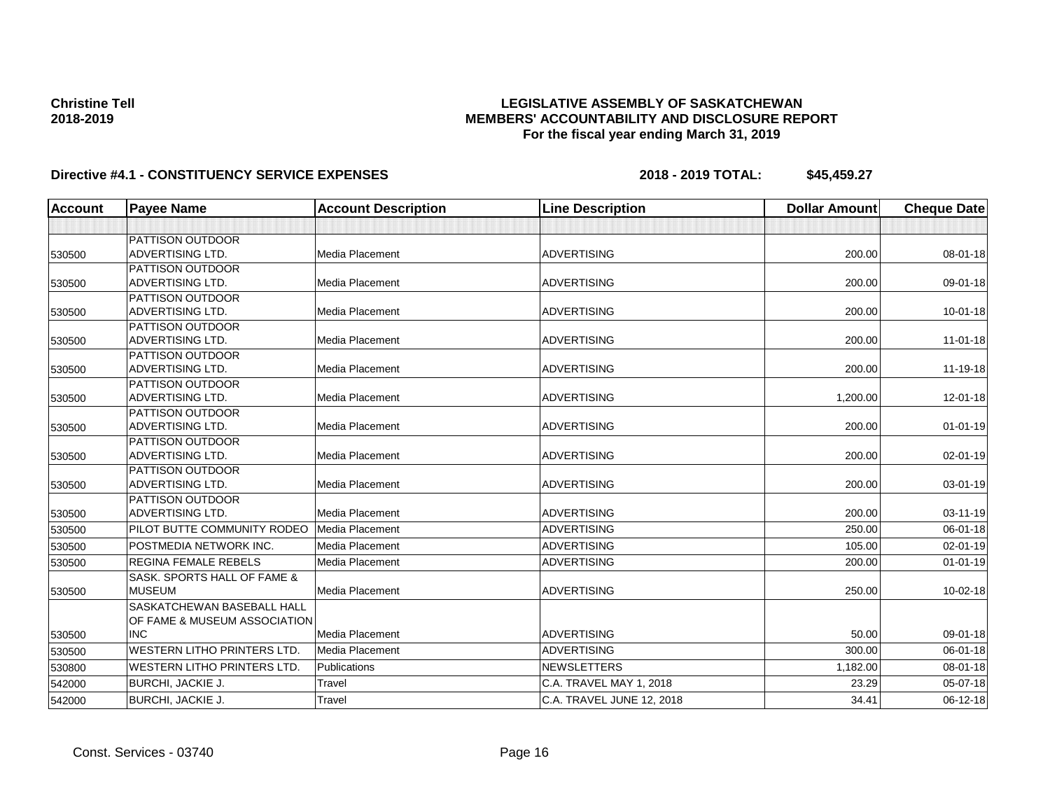## **LEGISLATIVE ASSEMBLY OF SASKATCHEWAN MEMBERS' ACCOUNTABILITY AND DISCLOSURE REPORT For the fiscal year ending March 31, 2019**

| Account | <b>Payee Name</b>                  | <b>Account Description</b> | <b>Line Description</b>   | <b>Dollar Amount</b> | <b>Cheque Date</b> |
|---------|------------------------------------|----------------------------|---------------------------|----------------------|--------------------|
|         |                                    |                            |                           |                      |                    |
|         | <b>PATTISON OUTDOOR</b>            |                            |                           |                      |                    |
| 530500  | <b>ADVERTISING LTD.</b>            | Media Placement            | <b>ADVERTISING</b>        | 200.00               | 08-01-18           |
|         | <b>PATTISON OUTDOOR</b>            |                            |                           |                      |                    |
| 530500  | <b>ADVERTISING LTD.</b>            | Media Placement            | <b>ADVERTISING</b>        | 200.00               | 09-01-18           |
|         | <b>PATTISON OUTDOOR</b>            |                            |                           |                      |                    |
| 530500  | <b>ADVERTISING LTD.</b>            | Media Placement            | <b>ADVERTISING</b>        | 200.00               | $10 - 01 - 18$     |
|         | PATTISON OUTDOOR                   |                            |                           |                      |                    |
| 530500  | <b>ADVERTISING LTD.</b>            | <b>Media Placement</b>     | <b>ADVERTISING</b>        | 200.00               | $11 - 01 - 18$     |
|         | <b>PATTISON OUTDOOR</b>            |                            |                           |                      |                    |
| 530500  | <b>ADVERTISING LTD.</b>            | <b>Media Placement</b>     | <b>ADVERTISING</b>        | 200.00               | 11-19-18           |
|         | <b>PATTISON OUTDOOR</b>            |                            |                           |                      |                    |
| 530500  | <b>ADVERTISING LTD.</b>            | Media Placement            | <b>ADVERTISING</b>        | 1.200.00             | 12-01-18           |
|         | <b>PATTISON OUTDOOR</b>            |                            |                           |                      |                    |
| 530500  | <b>ADVERTISING LTD.</b>            | <b>Media Placement</b>     | <b>ADVERTISING</b>        | 200.00               | $01 - 01 - 19$     |
|         | <b>PATTISON OUTDOOR</b>            |                            |                           |                      |                    |
| 530500  | <b>ADVERTISING LTD.</b>            | Media Placement            | <b>ADVERTISING</b>        | 200.00               | 02-01-19           |
|         | <b>PATTISON OUTDOOR</b>            |                            |                           |                      |                    |
| 530500  | ADVERTISING LTD.                   | Media Placement            | <b>ADVERTISING</b>        | 200.00               | 03-01-19           |
|         | <b>PATTISON OUTDOOR</b>            |                            |                           |                      |                    |
| 530500  | <b>ADVERTISING LTD.</b>            | Media Placement            | <b>ADVERTISING</b>        | 200.00               | 03-11-19           |
| 530500  | PILOT BUTTE COMMUNITY RODEO        | Media Placement            | <b>ADVERTISING</b>        | 250.00               | 06-01-18           |
| 530500  | POSTMEDIA NETWORK INC.             | Media Placement            | <b>ADVERTISING</b>        | 105.00               | 02-01-19           |
| 530500  | <b>REGINA FEMALE REBELS</b>        | <b>Media Placement</b>     | <b>ADVERTISING</b>        | 200.00               | $01 - 01 - 19$     |
|         | SASK, SPORTS HALL OF FAME &        |                            |                           |                      |                    |
| 530500  | <b>MUSEUM</b>                      | <b>Media Placement</b>     | <b>ADVERTISING</b>        | 250.00               | 10-02-18           |
|         | SASKATCHEWAN BASEBALL HALL         |                            |                           |                      |                    |
|         | OF FAME & MUSEUM ASSOCIATION       |                            |                           |                      |                    |
| 530500  | <b>INC</b>                         | Media Placement            | <b>ADVERTISING</b>        | 50.00                | 09-01-18           |
| 530500  | <b>WESTERN LITHO PRINTERS LTD.</b> | Media Placement            | <b>ADVERTISING</b>        | 300.00               | 06-01-18           |
| 530800  | <b>WESTERN LITHO PRINTERS LTD.</b> | Publications               | <b>NEWSLETTERS</b>        | 1,182.00             | 08-01-18           |
| 542000  | <b>BURCHI, JACKIE J.</b>           | Travel                     | C.A. TRAVEL MAY 1, 2018   | 23.29                | 05-07-18           |
| 542000  | BURCHI, JACKIE J.                  | Travel                     | C.A. TRAVEL JUNE 12, 2018 | 34.41                | 06-12-18           |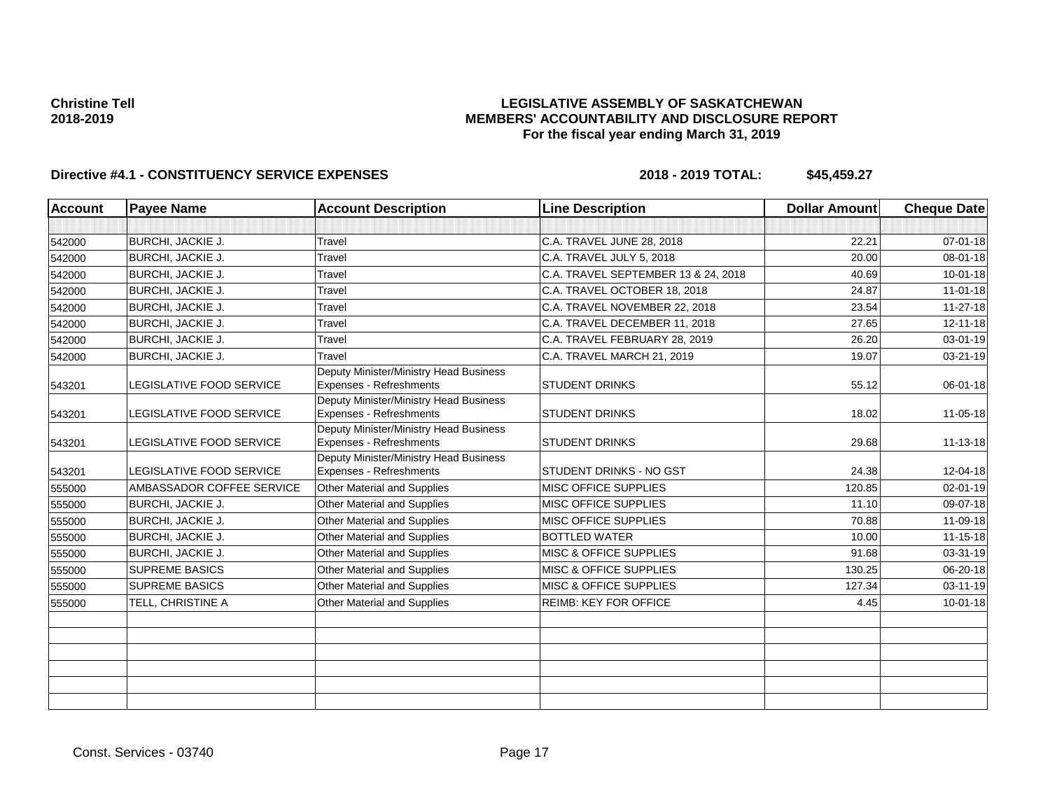## **LEGISLATIVE ASSEMBLY OF SASKATCHEWAN MEMBERS' ACCOUNTABILITY AND DISCLOSURE REPORT For the fiscal year ending March 31, 2019**

| <b>Account</b> | <b>Payee Name</b>         | <b>Account Description</b>                                        | <b>Line Description</b>             | <b>Dollar Amount</b> | <b>Cheque Date</b> |
|----------------|---------------------------|-------------------------------------------------------------------|-------------------------------------|----------------------|--------------------|
|                |                           |                                                                   |                                     |                      |                    |
| 542000         | <b>BURCHI, JACKIE J.</b>  | Travel                                                            | C.A. TRAVEL JUNE 28, 2018           | 22.21                | $07 - 01 - 18$     |
| 542000         | <b>BURCHI, JACKIE J.</b>  | Travel                                                            | C.A. TRAVEL JULY 5, 2018            | 20.00                | 08-01-18           |
| 542000         | <b>BURCHI, JACKIE J.</b>  | Travel                                                            | C.A. TRAVEL SEPTEMBER 13 & 24, 2018 | 40.69                | $10 - 01 - 18$     |
| 542000         | <b>BURCHI, JACKIE J.</b>  | Travel                                                            | C.A. TRAVEL OCTOBER 18, 2018        | 24.87                | 11-01-18           |
| 542000         | <b>BURCHI, JACKIE J.</b>  | Travel                                                            | C.A. TRAVEL NOVEMBER 22, 2018       | 23.54                | $11 - 27 - 18$     |
| 542000         | <b>BURCHI, JACKIE J.</b>  | Travel                                                            | C.A. TRAVEL DECEMBER 11, 2018       | 27.65                | $12 - 11 - 18$     |
| 542000         | <b>BURCHI, JACKIE J.</b>  | Travel                                                            | C.A. TRAVEL FEBRUARY 28, 2019       | 26.20                | 03-01-19           |
| 542000         | <b>BURCHI, JACKIE J.</b>  | Travel                                                            | C.A. TRAVEL MARCH 21, 2019          | 19.07                | $03 - 21 - 19$     |
| 543201         | LEGISLATIVE FOOD SERVICE  | Deputy Minister/Ministry Head Business<br>Expenses - Refreshments | <b>STUDENT DRINKS</b>               | 55.12                | 06-01-18           |
| 543201         | LEGISLATIVE FOOD SERVICE  | Deputy Minister/Ministry Head Business<br>Expenses - Refreshments | <b>STUDENT DRINKS</b>               | 18.02                | 11-05-18           |
| 543201         | LEGISLATIVE FOOD SERVICE  | Deputy Minister/Ministry Head Business<br>Expenses - Refreshments | <b>STUDENT DRINKS</b>               | 29.68                | 11-13-18           |
| 543201         | LEGISLATIVE FOOD SERVICE  | Deputy Minister/Ministry Head Business<br>Expenses - Refreshments | <b>STUDENT DRINKS - NO GST</b>      | 24.38                | 12-04-18           |
| 555000         | AMBASSADOR COFFEE SERVICE | Other Material and Supplies                                       | MISC OFFICE SUPPLIES                | 120.85               | 02-01-19           |
| 555000         | <b>BURCHI, JACKIE J.</b>  | Other Material and Supplies                                       | <b>MISC OFFICE SUPPLIES</b>         | 11.10                | 09-07-18           |
| 555000         | <b>BURCHI, JACKIE J.</b>  | Other Material and Supplies                                       | MISC OFFICE SUPPLIES                | 70.88                | 11-09-18           |
| 555000         | <b>BURCHI, JACKIE J.</b>  | Other Material and Supplies                                       | <b>BOTTLED WATER</b>                | 10.00                | 11-15-18           |
| 555000         | <b>BURCHI, JACKIE J.</b>  | <b>Other Material and Supplies</b>                                | <b>MISC &amp; OFFICE SUPPLIES</b>   | 91.68                | 03-31-19           |
| 555000         | <b>SUPREME BASICS</b>     | Other Material and Supplies                                       | MISC & OFFICE SUPPLIES              | 130.25               | 06-20-18           |
| 555000         | <b>SUPREME BASICS</b>     | Other Material and Supplies                                       | <b>MISC &amp; OFFICE SUPPLIES</b>   | 127.34               | $03 - 11 - 19$     |
| 555000         | TELL, CHRISTINE A         | Other Material and Supplies                                       | <b>REIMB: KEY FOR OFFICE</b>        | 4.45                 | $10 - 01 - 18$     |
|                |                           |                                                                   |                                     |                      |                    |
|                |                           |                                                                   |                                     |                      |                    |
|                |                           |                                                                   |                                     |                      |                    |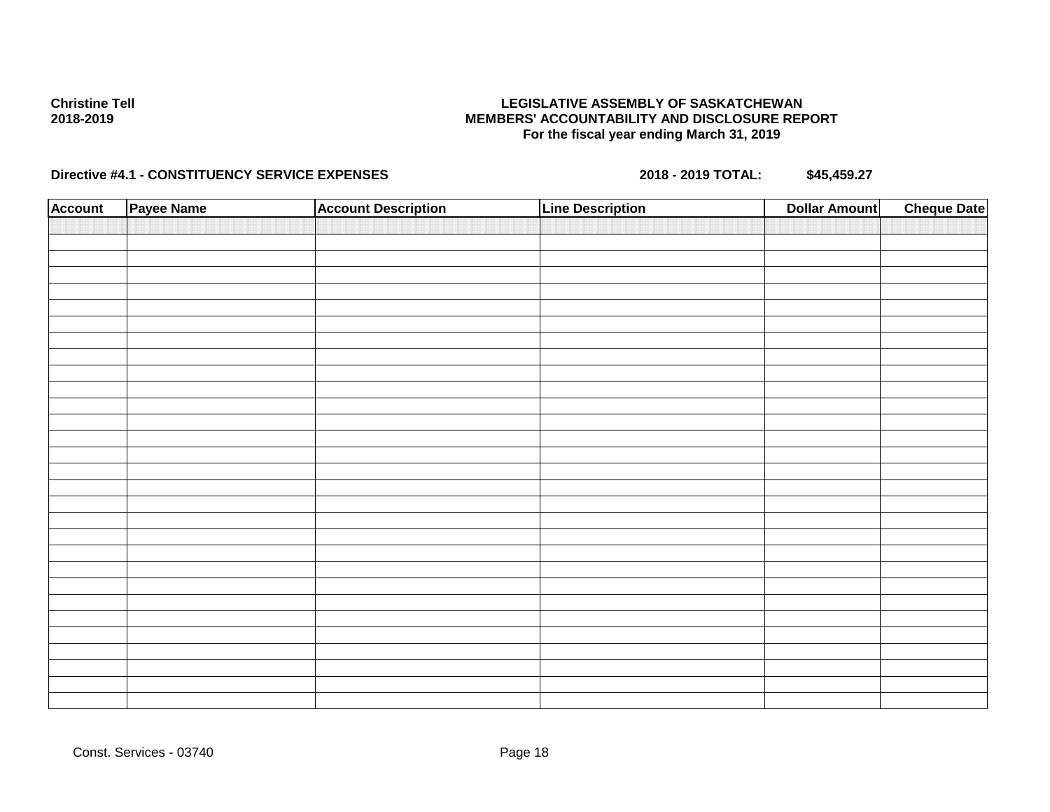## **LEGISLATIVE ASSEMBLY OF SASKATCHEWAN MEMBERS' ACCOUNTABILITY AND DISCLOSURE REPORT For the fiscal year ending March 31, 2019**

| <b>Account</b> | Payee Name | <b>Account Description</b> | <b>Line Description</b> | <b>Dollar Amount</b> | <b>Cheque Date</b> |
|----------------|------------|----------------------------|-------------------------|----------------------|--------------------|
|                |            |                            |                         |                      |                    |
|                |            |                            |                         |                      |                    |
|                |            |                            |                         |                      |                    |
|                |            |                            |                         |                      |                    |
|                |            |                            |                         |                      |                    |
|                |            |                            |                         |                      |                    |
|                |            |                            |                         |                      |                    |
|                |            |                            |                         |                      |                    |
|                |            |                            |                         |                      |                    |
|                |            |                            |                         |                      |                    |
|                |            |                            |                         |                      |                    |
|                |            |                            |                         |                      |                    |
|                |            |                            |                         |                      |                    |
|                |            |                            |                         |                      |                    |
|                |            |                            |                         |                      |                    |
|                |            |                            |                         |                      |                    |
|                |            |                            |                         |                      |                    |
|                |            |                            |                         |                      |                    |
|                |            |                            |                         |                      |                    |
|                |            |                            |                         |                      |                    |
|                |            |                            |                         |                      |                    |
|                |            |                            |                         |                      |                    |
|                |            |                            |                         |                      |                    |
|                |            |                            |                         |                      |                    |
|                |            |                            |                         |                      |                    |
|                |            |                            |                         |                      |                    |
|                |            |                            |                         |                      |                    |
|                |            |                            |                         |                      |                    |
|                |            |                            |                         |                      |                    |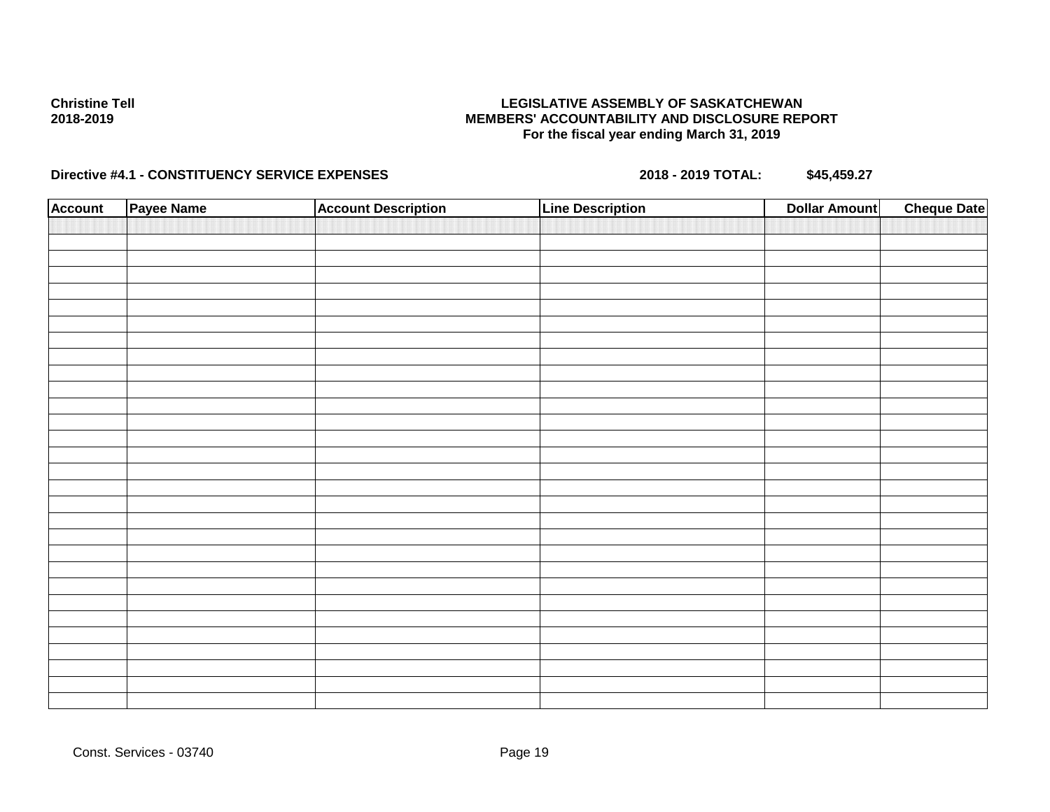## **LEGISLATIVE ASSEMBLY OF SASKATCHEWAN MEMBERS' ACCOUNTABILITY AND DISCLOSURE REPORT For the fiscal year ending March 31, 2019**

| <b>Account</b> | Payee Name | <b>Account Description</b> | <b>Line Description</b> | <b>Dollar Amount</b> | <b>Cheque Date</b> |
|----------------|------------|----------------------------|-------------------------|----------------------|--------------------|
|                |            |                            |                         |                      |                    |
|                |            |                            |                         |                      |                    |
|                |            |                            |                         |                      |                    |
|                |            |                            |                         |                      |                    |
|                |            |                            |                         |                      |                    |
|                |            |                            |                         |                      |                    |
|                |            |                            |                         |                      |                    |
|                |            |                            |                         |                      |                    |
|                |            |                            |                         |                      |                    |
|                |            |                            |                         |                      |                    |
|                |            |                            |                         |                      |                    |
|                |            |                            |                         |                      |                    |
|                |            |                            |                         |                      |                    |
|                |            |                            |                         |                      |                    |
|                |            |                            |                         |                      |                    |
|                |            |                            |                         |                      |                    |
|                |            |                            |                         |                      |                    |
|                |            |                            |                         |                      |                    |
|                |            |                            |                         |                      |                    |
|                |            |                            |                         |                      |                    |
|                |            |                            |                         |                      |                    |
|                |            |                            |                         |                      |                    |
|                |            |                            |                         |                      |                    |
|                |            |                            |                         |                      |                    |
|                |            |                            |                         |                      |                    |
|                |            |                            |                         |                      |                    |
|                |            |                            |                         |                      |                    |
|                |            |                            |                         |                      |                    |
|                |            |                            |                         |                      |                    |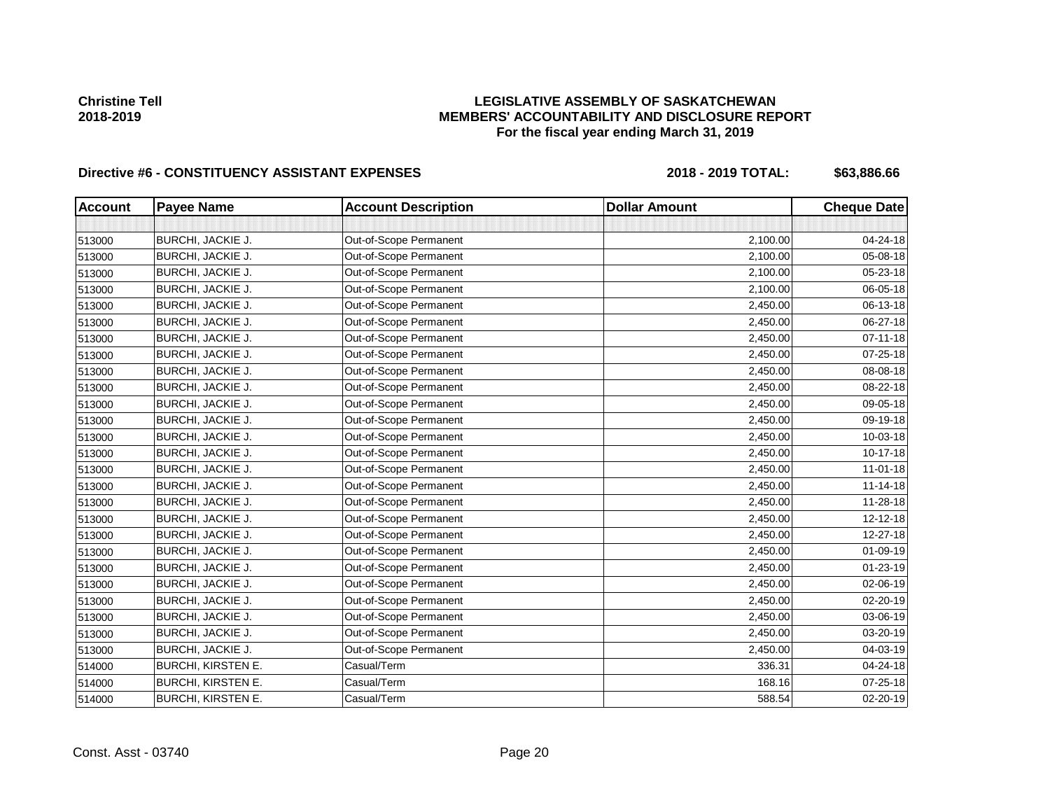# **LEGISLATIVE ASSEMBLY OF SASKATCHEWAN MEMBERS' ACCOUNTABILITY AND DISCLOSURE REPORT For the fiscal year ending March 31, 2019**

| <b>Account</b> | <b>Payee Name</b>         | <b>Account Description</b> | <b>Dollar Amount</b> | <b>Cheque Date</b> |
|----------------|---------------------------|----------------------------|----------------------|--------------------|
|                |                           |                            |                      |                    |
| 513000         | BURCHI, JACKIE J.         | Out-of-Scope Permanent     | 2,100.00             | 04-24-18           |
| 513000         | BURCHI, JACKIE J.         | Out-of-Scope Permanent     | 2,100.00             | 05-08-18           |
| 513000         | <b>BURCHI, JACKIE J.</b>  | Out-of-Scope Permanent     | 2,100.00             | 05-23-18           |
| 513000         | BURCHI, JACKIE J.         | Out-of-Scope Permanent     | 2,100.00             | 06-05-18           |
| 513000         | BURCHI, JACKIE J.         | Out-of-Scope Permanent     | 2,450.00             | 06-13-18           |
| 513000         | BURCHI, JACKIE J.         | Out-of-Scope Permanent     | 2,450.00             | 06-27-18           |
| 513000         | <b>BURCHI, JACKIE J.</b>  | Out-of-Scope Permanent     | 2,450.00             | $07 - 11 - 18$     |
| 513000         | BURCHI, JACKIE J.         | Out-of-Scope Permanent     | 2,450.00             | 07-25-18           |
| 513000         | BURCHI, JACKIE J.         | Out-of-Scope Permanent     | 2,450.00             | 08-08-18           |
| 513000         | BURCHI, JACKIE J.         | Out-of-Scope Permanent     | 2,450.00             | 08-22-18           |
| 513000         | BURCHI, JACKIE J.         | Out-of-Scope Permanent     | 2,450.00             | 09-05-18           |
| 513000         | BURCHI, JACKIE J.         | Out-of-Scope Permanent     | 2,450.00             | 09-19-18           |
| 513000         | BURCHI, JACKIE J.         | Out-of-Scope Permanent     | 2,450.00             | 10-03-18           |
| 513000         | BURCHI, JACKIE J.         | Out-of-Scope Permanent     | 2,450.00             | 10-17-18           |
| 513000         | BURCHI, JACKIE J.         | Out-of-Scope Permanent     | 2,450.00             | $11 - 01 - 18$     |
| 513000         | BURCHI, JACKIE J.         | Out-of-Scope Permanent     | 2,450.00             | $11 - 14 - 18$     |
| 513000         | BURCHI, JACKIE J.         | Out-of-Scope Permanent     | 2,450.00             | 11-28-18           |
| 513000         | BURCHI, JACKIE J.         | Out-of-Scope Permanent     | 2,450.00             | $12 - 12 - 18$     |
| 513000         | BURCHI, JACKIE J.         | Out-of-Scope Permanent     | 2,450.00             | 12-27-18           |
| 513000         | BURCHI, JACKIE J.         | Out-of-Scope Permanent     | 2,450.00             | 01-09-19           |
| 513000         | BURCHI, JACKIE J.         | Out-of-Scope Permanent     | 2,450.00             | 01-23-19           |
| 513000         | BURCHI, JACKIE J.         | Out-of-Scope Permanent     | 2,450.00             | 02-06-19           |
| 513000         | BURCHI, JACKIE J.         | Out-of-Scope Permanent     | 2,450.00             | 02-20-19           |
| 513000         | BURCHI, JACKIE J.         | Out-of-Scope Permanent     | 2,450.00             | 03-06-19           |
| 513000         | BURCHI, JACKIE J.         | Out-of-Scope Permanent     | 2,450.00             | 03-20-19           |
| 513000         | BURCHI, JACKIE J.         | Out-of-Scope Permanent     | 2,450.00             | 04-03-19           |
| 514000         | <b>BURCHI, KIRSTEN E.</b> | Casual/Term                | 336.31               | 04-24-18           |
| 514000         | <b>BURCHI, KIRSTEN E.</b> | Casual/Term                | 168.16               | 07-25-18           |
| 514000         | <b>BURCHI, KIRSTEN E.</b> | Casual/Term                | 588.54               | 02-20-19           |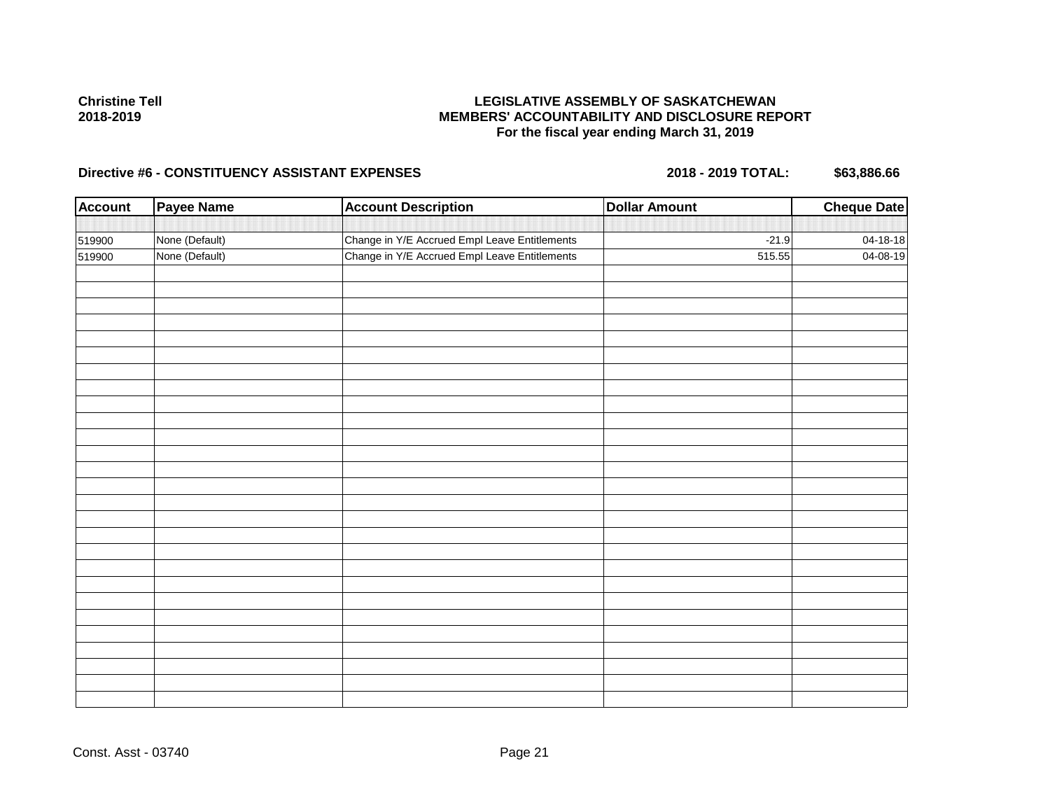# **LEGISLATIVE ASSEMBLY OF SASKATCHEWAN MEMBERS' ACCOUNTABILITY AND DISCLOSURE REPORT For the fiscal year ending March 31, 2019**

| <b>Account</b> | <b>Payee Name</b> | <b>Account Description</b>                    | <b>Dollar Amount</b> | <b>Cheque Date</b> |
|----------------|-------------------|-----------------------------------------------|----------------------|--------------------|
|                |                   |                                               |                      |                    |
| 519900         | None (Default)    | Change in Y/E Accrued Empl Leave Entitlements | $-21.9$              | $04 - 18 - 18$     |
| 519900         | None (Default)    | Change in Y/E Accrued Empl Leave Entitlements | 515.55               | 04-08-19           |
|                |                   |                                               |                      |                    |
|                |                   |                                               |                      |                    |
|                |                   |                                               |                      |                    |
|                |                   |                                               |                      |                    |
|                |                   |                                               |                      |                    |
|                |                   |                                               |                      |                    |
|                |                   |                                               |                      |                    |
|                |                   |                                               |                      |                    |
|                |                   |                                               |                      |                    |
|                |                   |                                               |                      |                    |
|                |                   |                                               |                      |                    |
|                |                   |                                               |                      |                    |
|                |                   |                                               |                      |                    |
|                |                   |                                               |                      |                    |
|                |                   |                                               |                      |                    |
|                |                   |                                               |                      |                    |
|                |                   |                                               |                      |                    |
|                |                   |                                               |                      |                    |
|                |                   |                                               |                      |                    |
|                |                   |                                               |                      |                    |
|                |                   |                                               |                      |                    |
|                |                   |                                               |                      |                    |
|                |                   |                                               |                      |                    |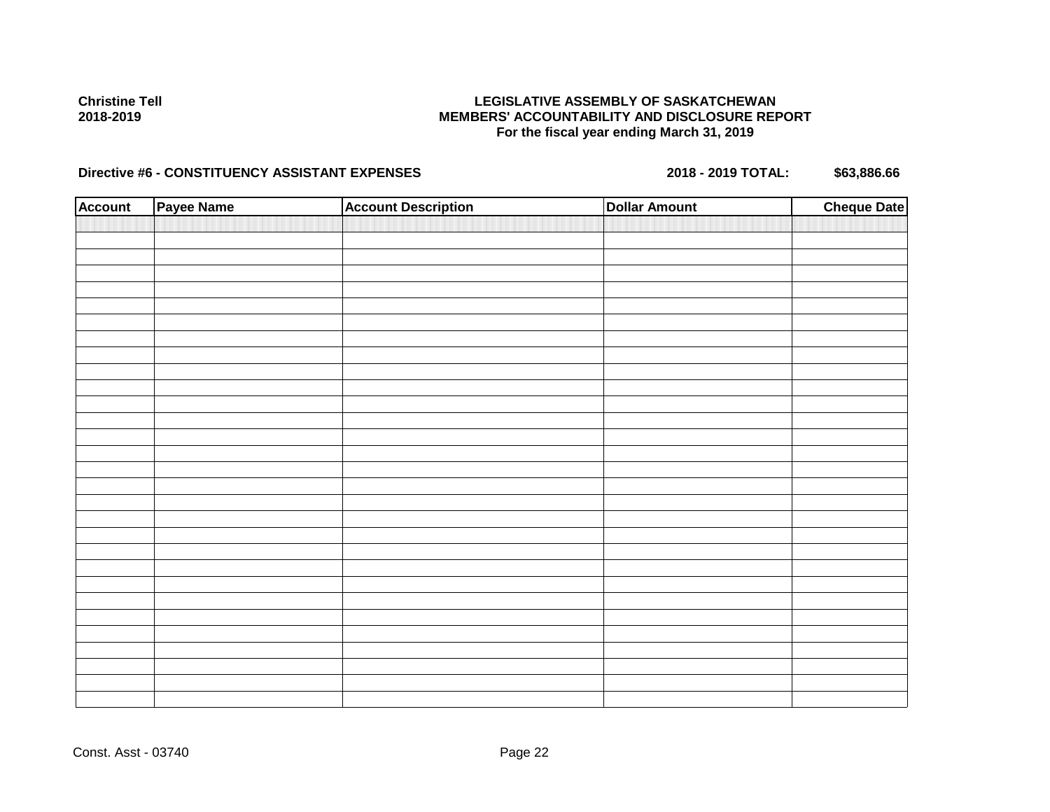## **LEGISLATIVE ASSEMBLY OF SASKATCHEWAN MEMBERS' ACCOUNTABILITY AND DISCLOSURE REPORT For the fiscal year ending March 31, 2019**

| <b>Account</b> | Payee Name | <b>Account Description</b> | <b>Dollar Amount</b> | <b>Cheque Date</b> |
|----------------|------------|----------------------------|----------------------|--------------------|
|                |            |                            |                      |                    |
|                |            |                            |                      |                    |
|                |            |                            |                      |                    |
|                |            |                            |                      |                    |
|                |            |                            |                      |                    |
|                |            |                            |                      |                    |
|                |            |                            |                      |                    |
|                |            |                            |                      |                    |
|                |            |                            |                      |                    |
|                |            |                            |                      |                    |
|                |            |                            |                      |                    |
|                |            |                            |                      |                    |
|                |            |                            |                      |                    |
|                |            |                            |                      |                    |
|                |            |                            |                      |                    |
|                |            |                            |                      |                    |
|                |            |                            |                      |                    |
|                |            |                            |                      |                    |
|                |            |                            |                      |                    |
|                |            |                            |                      |                    |
|                |            |                            |                      |                    |
|                |            |                            |                      |                    |
|                |            |                            |                      |                    |
|                |            |                            |                      |                    |
|                |            |                            |                      |                    |
|                |            |                            |                      |                    |
|                |            |                            |                      |                    |
|                |            |                            |                      |                    |
|                |            |                            |                      |                    |
|                |            |                            |                      |                    |